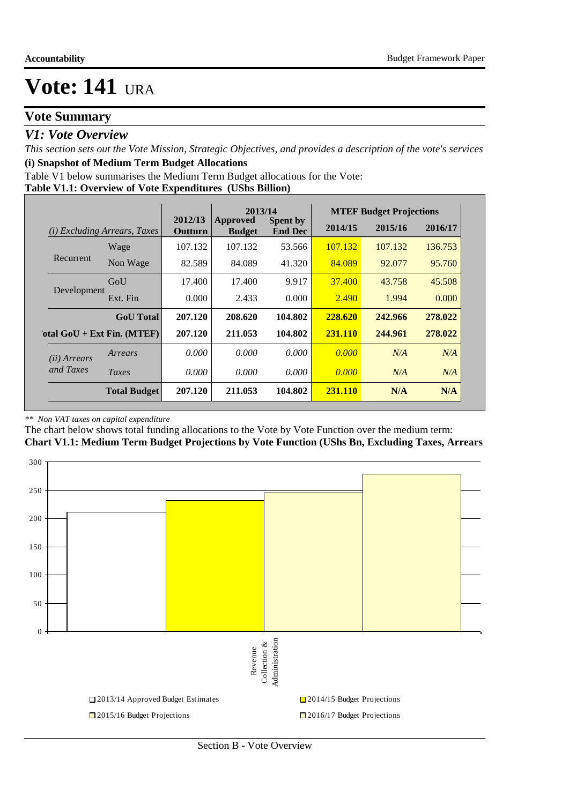### **Vote Summary**

### *V1: Vote Overview*

*This section sets out the Vote Mission, Strategic Objectives, and provides a description of the vote's services* **(i) Snapshot of Medium Term Budget Allocations** 

Table V1 below summarises the Medium Term Budget allocations for the Vote:

#### **Table V1.1: Overview of Vote Expenditures (UShs Billion)**

|                       |                                 |                    | 2013/14                          |                                   |         | <b>MTEF Budget Projections</b> |         |  |
|-----------------------|---------------------------------|--------------------|----------------------------------|-----------------------------------|---------|--------------------------------|---------|--|
| (i)                   | <i>Excluding Arrears, Taxes</i> | 2012/13<br>Outturn | <b>Approved</b><br><b>Budget</b> | <b>Spent by</b><br><b>End Dec</b> | 2014/15 | 2016/17<br>2015/16             |         |  |
|                       | Wage                            | 107.132            | 107.132                          | 53.566                            | 107.132 | 107.132                        | 136.753 |  |
| Recurrent             | Non Wage                        | 82.589             | 84.089                           | 41.320                            | 84.089  | 92,077                         | 95.760  |  |
|                       | GoU                             | 17.400             | 17.400                           | 9.917                             | 37.400  | 43.758                         | 45.508  |  |
| Development           | Ext. Fin                        | 0.000              | 2.433                            | 0.000                             | 2.490   | 1.994                          | 0.000   |  |
|                       | <b>GoU</b> Total                | 207.120            | 208.620                          | 104.802                           | 228.620 | 242.966                        | 278.022 |  |
|                       | otal $GoU + Ext Fin. (MTEF)$    | 207.120            | 211.053                          | 104.802                           | 231.110 | 244.961                        | 278.022 |  |
| ( <i>ii</i> ) Arrears | Arrears                         | 0.000              | 0.000                            | 0.000                             | 0.000   | N/A                            | N/A     |  |
| and Taxes             | Taxes                           | 0.000              | 0.000                            | 0.000                             | 0.000   | N/A                            | N/A     |  |
|                       | <b>Total Budget</b>             | 207.120            | 211.053                          | 104.802                           | 231.110 | N/A                            | N/A     |  |

#### *\*\* Non VAT taxes on capital expenditure*

The chart below shows total funding allocations to the Vote by Vote Function over the medium term: **Chart V1.1: Medium Term Budget Projections by Vote Function (UShs Bn, Excluding Taxes, Arrears**

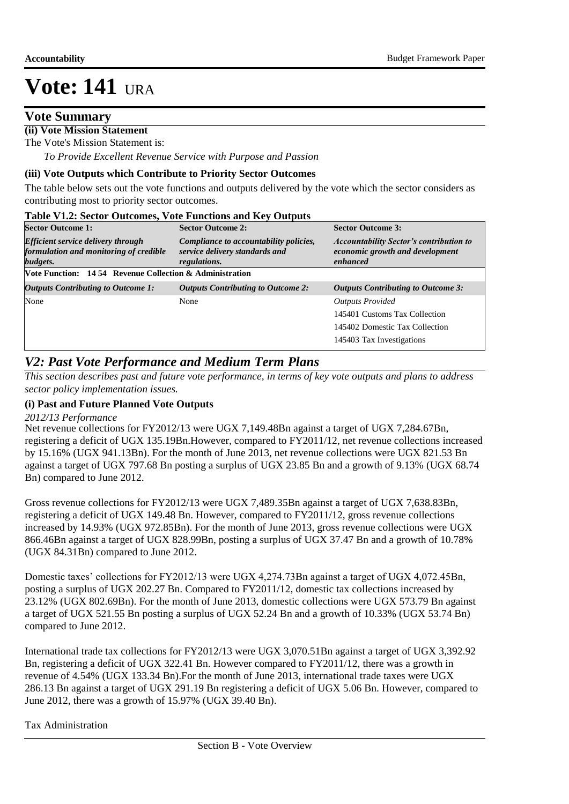### **Vote Summary**

### **(ii) Vote Mission Statement**

The Vote's Mission Statement is:

 *To Provide Excellent Revenue Service with Purpose and Passion*

#### **(iii) Vote Outputs which Contribute to Priority Sector Outcomes**

The table below sets out the vote functions and outputs delivered by the vote which the sector considers as contributing most to priority sector outcomes.

| <b>Table V1.2: Sector Outcomes, Vote Functions and Key Outputs</b>                              |                                                                                          |                                                                                               |
|-------------------------------------------------------------------------------------------------|------------------------------------------------------------------------------------------|-----------------------------------------------------------------------------------------------|
| <b>Sector Outcome 1:</b>                                                                        | <b>Sector Outcome 2:</b>                                                                 | <b>Sector Outcome 3:</b>                                                                      |
| <b>Efficient service delivery through</b><br>formulation and monitoring of credible<br>budgets. | Compliance to accountability policies,<br>service delivery standards and<br>regulations. | <b>Accountability Sector's contribution to</b><br>economic growth and development<br>enhanced |
| <b>Vote Function: 14.54 Revenue Collection &amp; Administration</b>                             |                                                                                          |                                                                                               |
| <b>Outputs Contributing to Outcome 1:</b>                                                       | <b>Outputs Contributing to Outcome 2:</b>                                                | <b>Outputs Contributing to Outcome 3:</b>                                                     |
| None                                                                                            | None                                                                                     | <b>Outputs Provided</b>                                                                       |
|                                                                                                 |                                                                                          | 145401 Customs Tax Collection                                                                 |
|                                                                                                 |                                                                                          | 145402 Domestic Tax Collection                                                                |
|                                                                                                 |                                                                                          | 145403 Tax Investigations                                                                     |

### *V2: Past Vote Performance and Medium Term Plans*

*This section describes past and future vote performance, in terms of key vote outputs and plans to address sector policy implementation issues.* 

#### **(i) Past and Future Planned Vote Outputs**

#### *2012/13 Performance*

Net revenue collections for FY2012/13 were UGX 7,149.48Bn against a target of UGX 7,284.67Bn, registering a deficit of UGX 135.19Bn.However, compared to FY2011/12, net revenue collections increased by 15.16% (UGX 941.13Bn). For the month of June 2013, net revenue collections were UGX 821.53 Bn against a target of UGX 797.68 Bn posting a surplus of UGX 23.85 Bn and a growth of 9.13% (UGX 68.74 Bn) compared to June 2012.

Gross revenue collections for FY2012/13 were UGX 7,489.35Bn against a target of UGX 7,638.83Bn, registering a deficit of UGX 149.48 Bn. However, compared to FY2011/12, gross revenue collections increased by 14.93% (UGX 972.85Bn). For the month of June 2013, gross revenue collections were UGX 866.46Bn against a target of UGX 828.99Bn, posting a surplus of UGX 37.47 Bn and a growth of 10.78% (UGX 84.31Bn) compared to June 2012.

Domestic taxes' collections for FY2012/13 were UGX 4,274.73Bn against a target of UGX 4,072.45Bn, posting a surplus of UGX 202.27 Bn. Compared to FY2011/12, domestic tax collections increased by 23.12% (UGX 802.69Bn). For the month of June 2013, domestic collections were UGX 573.79 Bn against a target of UGX 521.55 Bn posting a surplus of UGX 52.24 Bn and a growth of 10.33% (UGX 53.74 Bn) compared to June 2012.

International trade tax collections for FY2012/13 were UGX 3,070.51Bn against a target of UGX 3,392.92 Bn, registering a deficit of UGX 322.41 Bn. However compared to FY2011/12, there was a growth in revenue of 4.54% (UGX 133.34 Bn).For the month of June 2013, international trade taxes were UGX 286.13 Bn against a target of UGX 291.19 Bn registering a deficit of UGX 5.06 Bn. However, compared to June 2012, there was a growth of 15.97% (UGX 39.40 Bn).

#### Tax Administration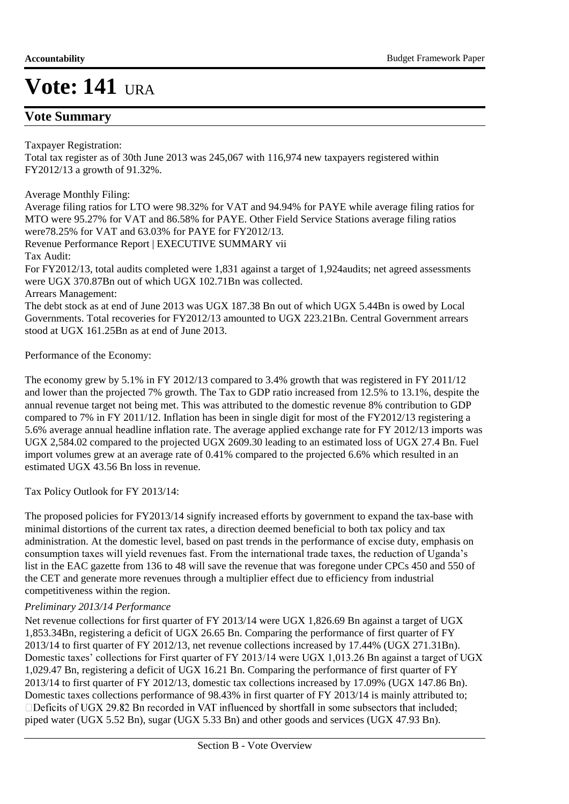### **Vote Summary**

Taxpayer Registration:

Total tax register as of 30th June 2013 was 245,067 with 116,974 new taxpayers registered within FY2012/13 a growth of 91.32%.

#### Average Monthly Filing:

Average filing ratios for LTO were 98.32% for VAT and 94.94% for PAYE while average filing ratios for MTO were 95.27% for VAT and 86.58% for PAYE. Other Field Service Stations average filing ratios were78.25% for VAT and 63.03% for PAYE for FY2012/13. Revenue Performance Report | EXECUTIVE SUMMARY vii Tax Audit: For FY2012/13, total audits completed were 1,831 against a target of 1,924audits; net agreed assessments were UGX 370.87Bn out of which UGX 102.71Bn was collected. Arrears Management: The debt stock as at end of June 2013 was UGX 187.38 Bn out of which UGX 5.44Bn is owed by Local Governments. Total recoveries for FY2012/13 amounted to UGX 223.21Bn. Central Government arrears

Performance of the Economy:

stood at UGX 161.25Bn as at end of June 2013.

The economy grew by 5.1% in FY 2012/13 compared to 3.4% growth that was registered in FY 2011/12 and lower than the projected 7% growth. The Tax to GDP ratio increased from 12.5% to 13.1%, despite the annual revenue target not being met. This was attributed to the domestic revenue 8% contribution to GDP compared to 7% in FY 2011/12. Inflation has been in single digit for most of the FY2012/13 registering a 5.6% average annual headline inflation rate. The average applied exchange rate for FY 2012/13 imports was UGX 2,584.02 compared to the projected UGX 2609.30 leading to an estimated loss of UGX 27.4 Bn. Fuel import volumes grew at an average rate of 0.41% compared to the projected 6.6% which resulted in an estimated UGX 43.56 Bn loss in revenue.

Tax Policy Outlook for FY 2013/14:

The proposed policies for FY2013/14 signify increased efforts by government to expand the tax-base with minimal distortions of the current tax rates, a direction deemed beneficial to both tax policy and tax administration. At the domestic level, based on past trends in the performance of excise duty, emphasis on consumption taxes will yield revenues fast. From the international trade taxes, the reduction of Uganda's list in the EAC gazette from 136 to 48 will save the revenue that was foregone under CPCs 450 and 550 of the CET and generate more revenues through a multiplier effect due to efficiency from industrial competitiveness within the region.

#### *Preliminary 2013/14 Performance*

Net revenue collections for first quarter of FY 2013/14 were UGX 1,826.69 Bn against a target of UGX 1,853.34Bn, registering a deficit of UGX 26.65 Bn. Comparing the performance of first quarter of FY 2013/14 to first quarter of FY 2012/13, net revenue collections increased by 17.44% (UGX 271.31Bn). Domestic taxes' collections for First quarter of FY 2013/14 were UGX 1,013.26 Bn against a target of UGX 1,029.47 Bn, registering a deficit of UGX 16.21 Bn. Comparing the performance of first quarter of FY 2013/14 to first quarter of FY 2012/13, domestic tax collections increased by 17.09% (UGX 147.86 Bn). Domestic taxes collections performance of 98.43% in first quarter of FY 2013/14 is mainly attributed to;<br>□Deficits of UGX 29.82 Bn recorded in VAT influenced by shortfall in some subsectors that included; piped water (UGX 5.52 Bn), sugar (UGX 5.33 Bn) and other goods and services (UGX 47.93 Bn).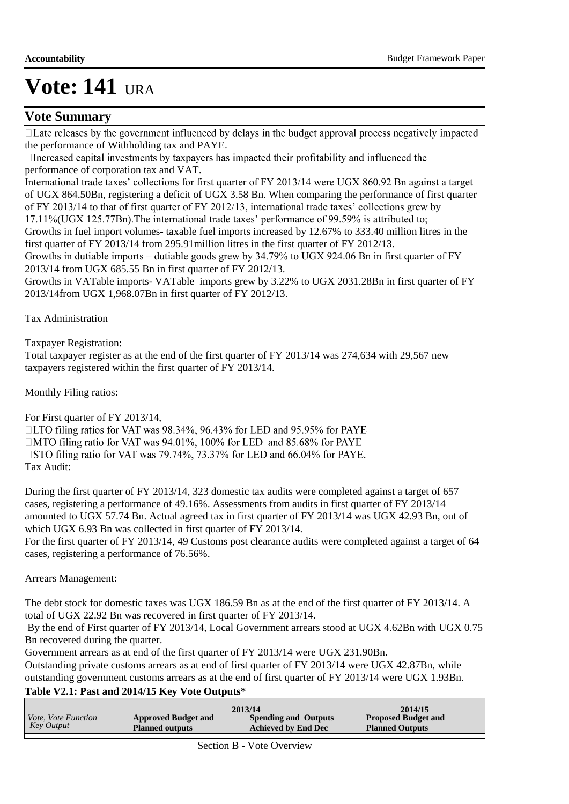### **Vote Summary**

 $\Box$  Late releases by the government influenced by delays in the budget approval process negatively impacted the performance of Withholding tax and PAYE.<br>  $\Box$  Increased capital investments by taxpayers has impacted their profitability and influenced the

performance of corporation tax and VAT.

International trade taxes' collections for first quarter of FY 2013/14 were UGX 860.92 Bn against a target of UGX 864.50Bn, registering a deficit of UGX 3.58 Bn. When comparing the performance of first quarter of FY 2013/14 to that of first quarter of FY 2012/13, international trade taxes' collections grew by 17.11%(UGX 125.77Bn).The international trade taxes' performance of 99.59% is attributed to;

Growths in fuel import volumes- taxable fuel imports increased by 12.67% to 333.40 million litres in the first quarter of FY 2013/14 from 295.91million litres in the first quarter of FY 2012/13.

Growths in dutiable imports – dutiable goods grew by 34.79% to UGX 924.06 Bn in first quarter of FY 2013/14 from UGX 685.55 Bn in first quarter of FY 2012/13.

Growths in VATable imports- VATable imports grew by 3.22% to UGX 2031.28Bn in first quarter of FY 2013/14from UGX 1,968.07Bn in first quarter of FY 2012/13.

Tax Administration

Taxpayer Registration:

Total taxpayer register as at the end of the first quarter of FY 2013/14 was 274,634 with 29,567 new taxpayers registered within the first quarter of FY 2013/14.

Monthly Filing ratios:

For First quarter of FY 2013/14,

□LTO filing ratios for VAT was 98.34%, 96.43% for LED and 95.95% for PAYE □MTO filing ratio for VAT was 94.01%, 100% for LED and 85.68% for PAYE □ STO filing ratio for VAT was 79.74%, 73.37% for LED and 66.04% for PAYE. Tax Audit:

During the first quarter of FY 2013/14, 323 domestic tax audits were completed against a target of 657 cases, registering a performance of 49.16%. Assessments from audits in first quarter of FY 2013/14 amounted to UGX 57.74 Bn. Actual agreed tax in first quarter of FY 2013/14 was UGX 42.93 Bn, out of which UGX 6.93 Bn was collected in first quarter of FY 2013/14.

For the first quarter of FY 2013/14, 49 Customs post clearance audits were completed against a target of 64 cases, registering a performance of 76.56%.

#### Arrears Management:

The debt stock for domestic taxes was UGX 186.59 Bn as at the end of the first quarter of FY 2013/14. A total of UGX 22.92 Bn was recovered in first quarter of FY 2013/14.

 By the end of First quarter of FY 2013/14, Local Government arrears stood at UGX 4.62Bn with UGX 0.75 Bn recovered during the quarter.

Government arrears as at end of the first quarter of FY 2013/14 were UGX 231.90Bn.

Outstanding private customs arrears as at end of first quarter of FY 2013/14 were UGX 42.87Bn, while outstanding government customs arrears as at the end of first quarter of FY 2013/14 were UGX 1.93Bn.

### **Table V2.1: Past and 2014/15 Key Vote Outputs\***

|                            |                            | 2013/14                     | 2014/15                    |
|----------------------------|----------------------------|-----------------------------|----------------------------|
| <i>Vote, Vote Function</i> | <b>Approved Budget and</b> | <b>Spending and Outputs</b> | <b>Proposed Budget and</b> |
| Key Output                 | <b>Planned outputs</b>     | <b>Achieved by End Dec</b>  | <b>Planned Outputs</b>     |
|                            |                            |                             |                            |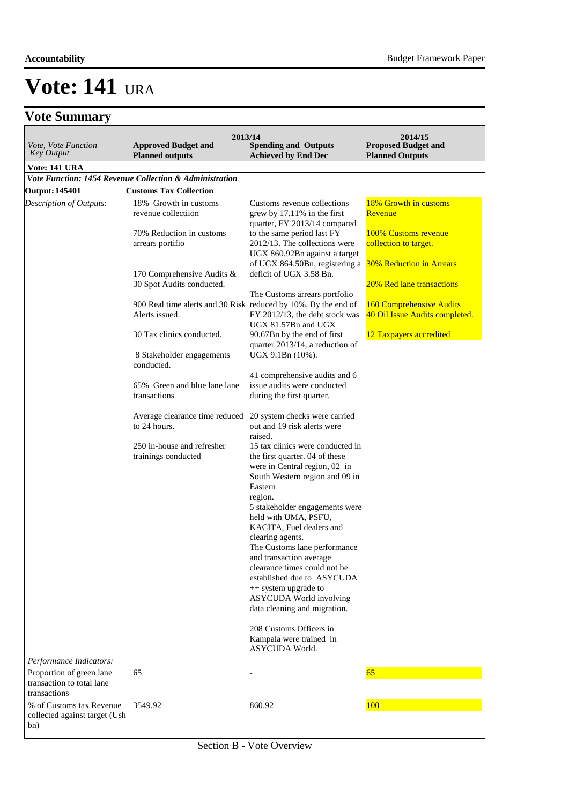### **Vote Summary**

| Vote, Vote Function<br><b>Key Output</b>                                                         | 2013/14<br><b>Spending and Outputs</b><br><b>Achieved by End Dec</b>                         | 2014/15<br><b>Proposed Budget and</b><br><b>Planned Outputs</b>                                                                                                                 |                                                                                   |
|--------------------------------------------------------------------------------------------------|----------------------------------------------------------------------------------------------|---------------------------------------------------------------------------------------------------------------------------------------------------------------------------------|-----------------------------------------------------------------------------------|
| <b>Vote: 141 URA</b>                                                                             |                                                                                              |                                                                                                                                                                                 |                                                                                   |
|                                                                                                  | Vote Function: 1454 Revenue Collection & Administration                                      |                                                                                                                                                                                 |                                                                                   |
| <b>Output: 145401</b>                                                                            | <b>Customs Tax Collection</b>                                                                |                                                                                                                                                                                 |                                                                                   |
| Description of Outputs:                                                                          | 18% Growth in customs<br>revenue collectiion<br>70% Reduction in customs<br>arrears portifio | Customs revenue collections<br>grew by 17.11% in the first<br>quarter, FY 2013/14 compared<br>to the same period last FY<br>2012/13. The collections were                       | 18% Growth in customs<br>Revenue<br>100% Customs revenue<br>collection to target. |
|                                                                                                  |                                                                                              | UGX 860.92Bn against a target<br>of UGX 864.50Bn, registering a                                                                                                                 | <b>30% Reduction in Arrears</b>                                                   |
|                                                                                                  | 170 Comprehensive Audits &<br>30 Spot Audits conducted.                                      | deficit of UGX 3.58 Bn.<br>The Customs arrears portfolio                                                                                                                        | 20% Red lane transactions                                                         |
|                                                                                                  | 900 Real time alerts and 30 Risk reduced by 10%. By the end of<br>Alerts issued.             | FY 2012/13, the debt stock was                                                                                                                                                  | <b>160 Comprehensive Audits</b><br>40 Oil Issue Audits completed.                 |
|                                                                                                  | 30 Tax clinics conducted.                                                                    | UGX 81.57Bn and UGX<br>90.67Bn by the end of first<br>quarter 2013/14, a reduction of                                                                                           | 12 Taxpayers accredited                                                           |
|                                                                                                  | 8 Stakeholder engagements<br>conducted.                                                      | UGX 9.1Bn (10%).                                                                                                                                                                |                                                                                   |
|                                                                                                  | 65% Green and blue lane lane<br>transactions                                                 | 41 comprehensive audits and 6<br>issue audits were conducted<br>during the first quarter.                                                                                       |                                                                                   |
|                                                                                                  | Average clearance time reduced<br>to 24 hours.                                               | 20 system checks were carried<br>out and 19 risk alerts were<br>raised.                                                                                                         |                                                                                   |
|                                                                                                  | 250 in-house and refresher<br>trainings conducted                                            | 15 tax clinics were conducted in<br>the first quarter. 04 of these<br>were in Central region, 02 in<br>South Western region and 09 in<br>Eastern<br>region.                     |                                                                                   |
|                                                                                                  |                                                                                              | 5 stakeholder engagements were<br>held with UMA, PSFU,<br>KACITA, Fuel dealers and<br>clearing agents.<br>The Customs lane performance                                          |                                                                                   |
|                                                                                                  |                                                                                              | and transaction average<br>clearance times could not be<br>established due to ASYCUDA<br>++ system upgrade to<br><b>ASYCUDA</b> World involving<br>data cleaning and migration. |                                                                                   |
|                                                                                                  |                                                                                              | 208 Customs Officers in<br>Kampala were trained in<br>ASYCUDA World.                                                                                                            |                                                                                   |
| Performance Indicators:<br>Proportion of green lane<br>transaction to total lane<br>transactions | 65                                                                                           |                                                                                                                                                                                 | 65                                                                                |
| % of Customs tax Revenue<br>collected against target (Ush<br>bn)                                 | 3549.92                                                                                      | 860.92                                                                                                                                                                          | 100                                                                               |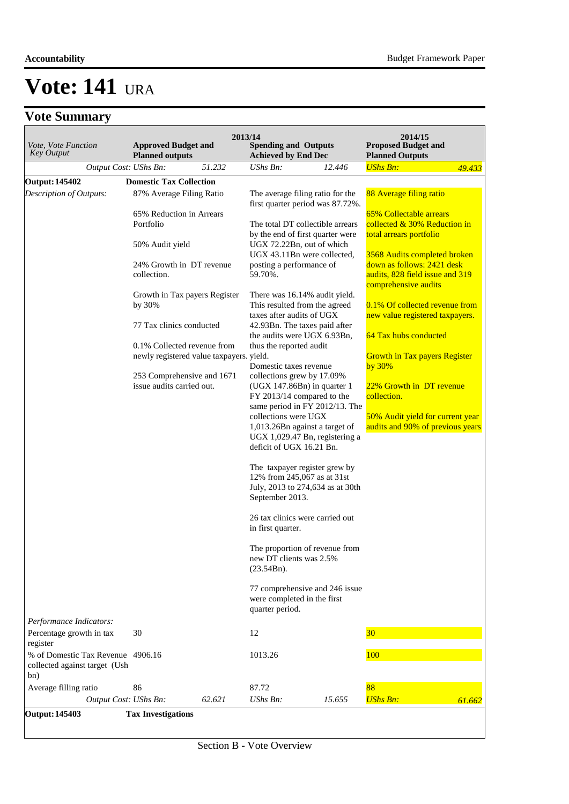### **Vote Summary**

| Vote, Vote Function<br><b>Key Output</b>                                  | <b>Approved Budget and</b><br><b>Planned outputs</b>                    | 2013/14 | <b>Spending and Outputs</b><br><b>Achieved by End Dec</b>                                                           |        | 2014/15<br><b>Proposed Budget and</b><br><b>Planned Outputs</b>                       |        |
|---------------------------------------------------------------------------|-------------------------------------------------------------------------|---------|---------------------------------------------------------------------------------------------------------------------|--------|---------------------------------------------------------------------------------------|--------|
| Output Cost: UShs Bn:                                                     |                                                                         | 51.232  | UShs Bn:                                                                                                            | 12.446 | <b>UShs Bn:</b>                                                                       | 49.433 |
| Output: 145402                                                            | <b>Domestic Tax Collection</b>                                          |         |                                                                                                                     |        |                                                                                       |        |
| Description of Outputs:                                                   | 87% Average Filing Ratio                                                |         | The average filing ratio for the<br>first quarter period was 87.72%.                                                |        | 88 Average filing ratio                                                               |        |
|                                                                           | 65% Reduction in Arrears<br>Portfolio                                   |         | The total DT collectible arrears<br>by the end of first quarter were                                                |        | 65% Collectable arrears<br>collected & 30% Reduction in<br>total arrears portfolio    |        |
|                                                                           | 50% Audit yield                                                         |         | UGX 72.22Bn, out of which<br>UGX 43.11Bn were collected,                                                            |        | 3568 Audits completed broken                                                          |        |
|                                                                           | 24% Growth in DT revenue<br>collection.                                 |         | posting a performance of<br>59.70%.                                                                                 |        | down as follows: 2421 desk<br>audits, 828 field issue and 319<br>comprehensive audits |        |
|                                                                           | Growth in Tax payers Register<br>by 30%                                 |         | There was 16.14% audit yield.<br>This resulted from the agreed<br>taxes after audits of UGX                         |        | 0.1% Of collected revenue from<br>new value registered taxpayers.                     |        |
|                                                                           | 77 Tax clinics conducted                                                |         | 42.93Bn. The taxes paid after<br>the audits were UGX 6.93Bn,                                                        |        | 64 Tax hubs conducted                                                                 |        |
|                                                                           | 0.1% Collected revenue from<br>newly registered value taxpayers. yield. |         | thus the reported audit<br>Domestic taxes revenue                                                                   |        | <b>Growth in Tax payers Register</b><br>by $30\%$                                     |        |
|                                                                           | 253 Comprehensive and 1671<br>issue audits carried out.                 |         | collections grew by 17.09%<br>$(UGX 147.86Bn)$ in quarter 1<br>FY 2013/14 compared to the                           |        | 22% Growth in DT revenue<br>collection.                                               |        |
|                                                                           |                                                                         |         | same period in FY 2012/13. The<br>collections were UGX<br>1,013.26Bn against a target of                            |        | 50% Audit yield for current year<br>audits and 90% of previous years                  |        |
|                                                                           |                                                                         |         | UGX 1,029.47 Bn, registering a<br>deficit of UGX 16.21 Bn.                                                          |        |                                                                                       |        |
|                                                                           |                                                                         |         | The taxpayer register grew by<br>12% from 245,067 as at 31st<br>July, 2013 to 274,634 as at 30th<br>September 2013. |        |                                                                                       |        |
|                                                                           |                                                                         |         | 26 tax clinics were carried out<br>in first quarter.                                                                |        |                                                                                       |        |
|                                                                           |                                                                         |         | The proportion of revenue from<br>new DT clients was 2.5%<br>(23.54Bn).                                             |        |                                                                                       |        |
|                                                                           |                                                                         |         | 77 comprehensive and 246 issue<br>were completed in the first<br>quarter period.                                    |        |                                                                                       |        |
| Performance Indicators:                                                   |                                                                         |         |                                                                                                                     |        |                                                                                       |        |
| Percentage growth in tax<br>register                                      | 30                                                                      |         | 12                                                                                                                  |        | 30 <sub>o</sub>                                                                       |        |
| % of Domestic Tax Revenue 4906.16<br>collected against target (Ush<br>bn) |                                                                         |         | 1013.26                                                                                                             |        | 100                                                                                   |        |
| Average filling ratio                                                     | 86                                                                      |         | 87.72                                                                                                               |        | 88                                                                                    |        |
| Output Cost: UShs Bn:                                                     |                                                                         | 62.621  | UShs Bn:                                                                                                            | 15.655 | <b>UShs Bn:</b>                                                                       | 61.662 |
| <b>Output: 145403</b>                                                     | <b>Tax Investigations</b>                                               |         |                                                                                                                     |        |                                                                                       |        |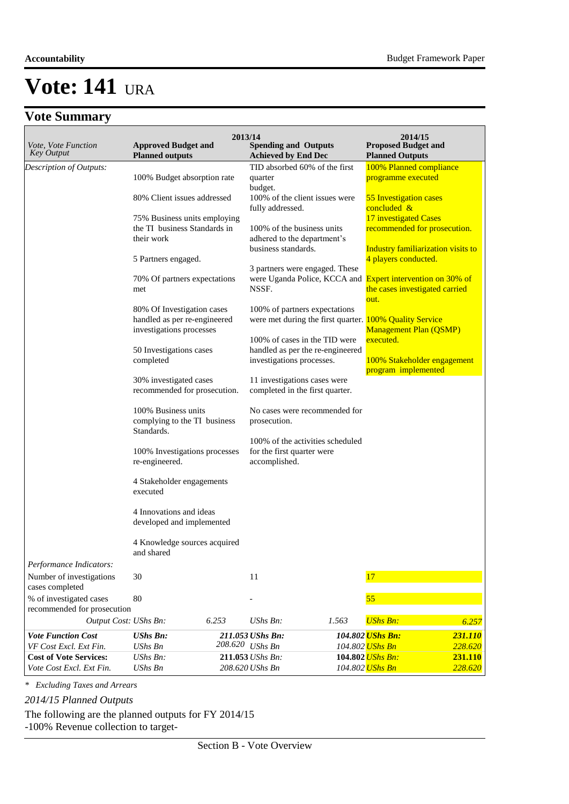|                                                         |                                                      | 2013/14         |                                                                   |       | 2014/15                                                 |                    |  |
|---------------------------------------------------------|------------------------------------------------------|-----------------|-------------------------------------------------------------------|-------|---------------------------------------------------------|--------------------|--|
| <i>Vote, Vote Function</i><br><b>Key Output</b>         | <b>Approved Budget and</b><br><b>Planned outputs</b> |                 | <b>Spending and Outputs</b><br><b>Achieved by End Dec</b>         |       | <b>Proposed Budget and</b><br><b>Planned Outputs</b>    |                    |  |
| Description of Outputs:                                 |                                                      |                 | TID absorbed 60% of the first                                     |       | 100% Planned compliance                                 |                    |  |
|                                                         | 100% Budget absorption rate                          |                 | quarter                                                           |       | programme executed                                      |                    |  |
|                                                         |                                                      |                 | budget.                                                           |       |                                                         |                    |  |
|                                                         | 80% Client issues addressed                          |                 | 100% of the client issues were                                    |       | 55 Investigation cases<br>concluded &                   |                    |  |
|                                                         | 75% Business units employing                         |                 | fully addressed.                                                  |       | 17 investigated Cases                                   |                    |  |
|                                                         | the TI business Standards in                         |                 | 100% of the business units                                        |       | recommended for prosecution.                            |                    |  |
|                                                         | their work                                           |                 | adhered to the department's                                       |       |                                                         |                    |  |
|                                                         |                                                      |                 | business standards.                                               |       | Industry familiarization visits to                      |                    |  |
|                                                         | 5 Partners engaged.                                  |                 |                                                                   |       | 4 players conducted.                                    |                    |  |
|                                                         | 70% Of partners expectations                         |                 | 3 partners were engaged. These<br>were Uganda Police, KCCA and    |       | <b>Expert intervention on 30% of</b>                    |                    |  |
|                                                         | met                                                  |                 | NSSF.                                                             |       | the cases investigated carried                          |                    |  |
|                                                         |                                                      |                 |                                                                   |       | out.                                                    |                    |  |
|                                                         | 80% Of Investigation cases                           |                 | 100% of partners expectations                                     |       |                                                         |                    |  |
|                                                         | handled as per re-engineered                         |                 |                                                                   |       | were met during the first quarter. 100% Quality Service |                    |  |
|                                                         | investigations processes                             |                 |                                                                   |       | <b>Management Plan (QSMP)</b><br>executed.              |                    |  |
|                                                         | 50 Investigations cases                              |                 | 100% of cases in the TID were<br>handled as per the re-engineered |       |                                                         |                    |  |
|                                                         | completed                                            |                 | investigations processes.                                         |       | 100% Stakeholder engagement                             |                    |  |
|                                                         |                                                      |                 |                                                                   |       | program implemented                                     |                    |  |
|                                                         | 30% investigated cases                               |                 | 11 investigations cases were                                      |       |                                                         |                    |  |
|                                                         | recommended for prosecution.                         |                 | completed in the first quarter.                                   |       |                                                         |                    |  |
|                                                         | 100% Business units                                  |                 | No cases were recommended for                                     |       |                                                         |                    |  |
|                                                         | complying to the TI business                         |                 | prosecution.                                                      |       |                                                         |                    |  |
|                                                         | Standards.                                           |                 |                                                                   |       |                                                         |                    |  |
|                                                         | 100% Investigations processes                        |                 | 100% of the activities scheduled<br>for the first quarter were    |       |                                                         |                    |  |
|                                                         | re-engineered.                                       |                 | accomplished.                                                     |       |                                                         |                    |  |
|                                                         | 4 Stakeholder engagements                            |                 |                                                                   |       |                                                         |                    |  |
|                                                         | executed                                             |                 |                                                                   |       |                                                         |                    |  |
|                                                         | 4 Innovations and ideas                              |                 |                                                                   |       |                                                         |                    |  |
|                                                         | developed and implemented                            |                 |                                                                   |       |                                                         |                    |  |
|                                                         |                                                      |                 |                                                                   |       |                                                         |                    |  |
|                                                         | 4 Knowledge sources acquired<br>and shared           |                 |                                                                   |       |                                                         |                    |  |
| Performance Indicators:                                 |                                                      |                 |                                                                   |       |                                                         |                    |  |
| Number of investigations                                | 30                                                   |                 | 11                                                                |       | 17                                                      |                    |  |
| cases completed                                         |                                                      |                 |                                                                   |       |                                                         |                    |  |
| % of investigated cases                                 | 80                                                   |                 |                                                                   |       | 55                                                      |                    |  |
| recommended for prosecution<br>Output Cost: UShs Bn:    |                                                      | 6.253           | UShs Bn:                                                          | 1.563 | <b>UShs Bn:</b>                                         |                    |  |
|                                                         |                                                      |                 |                                                                   |       |                                                         | 6.257              |  |
| <b>Vote Function Cost</b>                               | <b>UShs Bn:</b>                                      | 208.620 UShs Bn | 211.053 UShs Bn:                                                  |       | 104.802 UShs Bn:                                        | 231.110            |  |
| VF Cost Excl. Ext Fin.<br><b>Cost of Vote Services:</b> | <b>UShs Bn</b><br>$UShs Bn$ :                        |                 | 211.053 UShs Bn:                                                  |       | 104.802 UShs Bn<br>104.802 <i>UShs Bn:</i>              | 228.620<br>231.110 |  |
| Vote Cost Excl. Ext Fin.                                | <b>UShs Bn</b>                                       |                 | 208.620 UShs Bn                                                   |       | 104.802 UShs Bn                                         | 228.620            |  |

*\* Excluding Taxes and Arrears*

*2014/15 Planned Outputs*

The following are the planned outputs for FY 2014/15

-100% Revenue collection to target-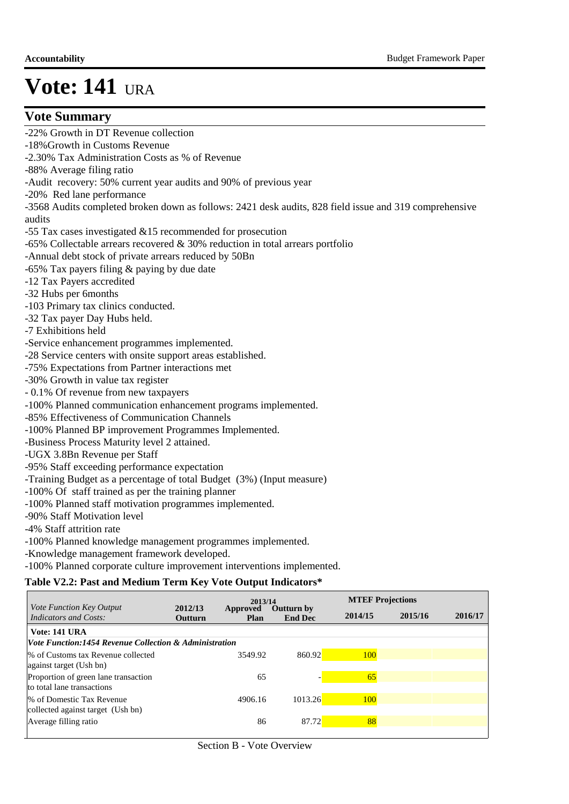### **Vote Summary**

-22% Growth in DT Revenue collection

- -18%Growth in Customs Revenue
- -2.30% Tax Administration Costs as % of Revenue
- -88% Average filing ratio
- -Audit recovery: 50% current year audits and 90% of previous year
- -20% Red lane performance

-3568 Audits completed broken down as follows: 2421 desk audits, 828 field issue and 319 comprehensive audits

- -55 Tax cases investigated &15 recommended for prosecution
- -65% Collectable arrears recovered & 30% reduction in total arrears portfolio
- -Annual debt stock of private arrears reduced by 50Bn
- -65% Tax payers filing & paying by due date
- -12 Tax Payers accredited
- -32 Hubs per 6months
- -103 Primary tax clinics conducted.
- -32 Tax payer Day Hubs held.
- -7 Exhibitions held
- -Service enhancement programmes implemented.
- -28 Service centers with onsite support areas established.
- -75% Expectations from Partner interactions met
- -30% Growth in value tax register
- 0.1% Of revenue from new taxpayers
- -100% Planned communication enhancement programs implemented.
- -85% Effectiveness of Communication Channels
- -100% Planned BP improvement Programmes Implemented.
- -Business Process Maturity level 2 attained.
- -UGX 3.8Bn Revenue per Staff
- -95% Staff exceeding performance expectation
- -Training Budget as a percentage of total Budget (3%) (Input measure)
- -100% Of staff trained as per the training planner
- -100% Planned staff motivation programmes implemented.
- -90% Staff Motivation level
- -4% Staff attrition rate
- -100% Planned knowledge management programmes implemented.
- -Knowledge management framework developed.
- -100% Planned corporate culture improvement interventions implemented.

#### **Table V2.2: Past and Medium Term Key Vote Output Indicators\***

| <i>Vote Function Key Output</i>                                   |                           | 2013/14                 |                                     |         | <b>MTEF Projections</b> |         |  |  |
|-------------------------------------------------------------------|---------------------------|-------------------------|-------------------------------------|---------|-------------------------|---------|--|--|
| Indicators and Costs:                                             | 2012/13<br><b>Outturn</b> | Approved<br><b>Plan</b> | <b>Outturn by</b><br><b>End Dec</b> | 2014/15 | 2015/16                 | 2016/17 |  |  |
| Vote: 141 URA                                                     |                           |                         |                                     |         |                         |         |  |  |
| <i>Vote Function:1454 Revenue Collection &amp; Administration</i> |                           |                         |                                     |         |                         |         |  |  |
| % of Customs tax Revenue collected                                |                           | 3549.92                 | 860.92                              | 100     |                         |         |  |  |
| against target (Ush bn)                                           |                           |                         |                                     |         |                         |         |  |  |
| Proportion of green lane transaction                              |                           | 65                      |                                     | 65      |                         |         |  |  |
| to total lane transactions                                        |                           |                         |                                     |         |                         |         |  |  |
| % of Domestic Tax Revenue                                         |                           | 4906.16                 | 1013.26                             | 100     |                         |         |  |  |
| collected against target (Ush bn)                                 |                           |                         |                                     |         |                         |         |  |  |
| Average filling ratio                                             |                           | 86                      | 87.72                               | 88      |                         |         |  |  |
|                                                                   |                           |                         |                                     |         |                         |         |  |  |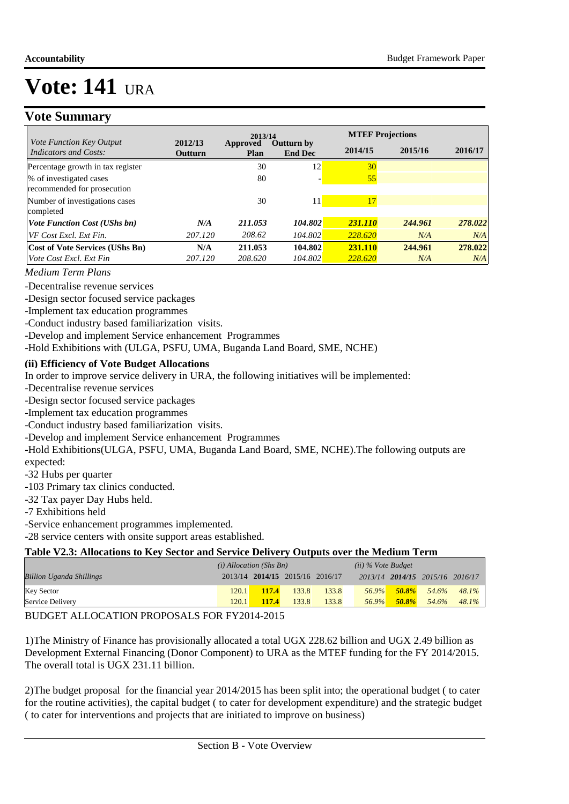### **Vote Summary**

|                                                        | 2013/14            |                  |                                     | <b>MTEF Projections</b> |         |         |  |
|--------------------------------------------------------|--------------------|------------------|-------------------------------------|-------------------------|---------|---------|--|
| Vote Function Key Output<br>Indicators and Costs:      | 2012/13<br>Outturn | Approved<br>Plan | <b>Outturn by</b><br><b>End Dec</b> | 2014/15                 | 2015/16 | 2016/17 |  |
| Percentage growth in tax register                      |                    | 30               | 12                                  | 30                      |         |         |  |
| % of investigated cases<br>recommended for prosecution |                    | 80               |                                     | 55                      |         |         |  |
| Number of investigations cases<br>completed            |                    | 30               | 11                                  | 17                      |         |         |  |
| <b>Vote Function Cost (UShs bn)</b>                    | N/A                | 211.053          | 104.802                             | 231.110                 | 244.961 | 278.022 |  |
| VF Cost Excl. Ext Fin.                                 | 207.120            | 208.62           | 104.802                             | 228.620                 | N/A     | N/A     |  |
| <b>Cost of Vote Services (UShs Bn)</b>                 | N/A                | 211.053          | 104.802                             | 231.110                 | 244.961 | 278.022 |  |
| Vote Cost Excl. Ext Fin                                | 207.120            | 208.620          | 104.802                             | 228.620                 | N/A     | N/A     |  |

#### *Medium Term Plans*

-Decentralise revenue services

-Design sector focused service packages

-Implement tax education programmes

-Conduct industry based familiarization visits.

-Develop and implement Service enhancement Programmes

-Hold Exhibitions with (ULGA, PSFU, UMA, Buganda Land Board, SME, NCHE)

#### **(ii) Efficiency of Vote Budget Allocations**

In order to improve service delivery in URA, the following initiatives will be implemented:

-Decentralise revenue services

-Design sector focused service packages

-Implement tax education programmes

-Conduct industry based familiarization visits.

-Develop and implement Service enhancement Programmes

-Hold Exhibitions(ULGA, PSFU, UMA, Buganda Land Board, SME, NCHE).The following outputs are expected:

-32 Hubs per quarter

-103 Primary tax clinics conducted.

-32 Tax payer Day Hubs held.

-7 Exhibitions held

-Service enhancement programmes implemented.

-28 service centers with onsite support areas established.

#### **Table V2.3: Allocations to Key Sector and Service Delivery Outputs over the Medium Term**

|                                 | $(i)$ Allocation (Shs Bn) |       |                                 | $(ii)$ % Vote Budget |          |              |                                 |          |
|---------------------------------|---------------------------|-------|---------------------------------|----------------------|----------|--------------|---------------------------------|----------|
| <b>Billion Uganda Shillings</b> |                           |       | 2013/14 2014/15 2015/16 2016/17 |                      |          |              | 2013/14 2014/15 2015/16 2016/17 |          |
| Key Sector                      | 120.1                     | 117.4 | 133.8                           | 133.8                | $56.9\%$ | <b>50.8%</b> | 54.6%                           | $48.1\%$ |
| Service Delivery                | 120.1                     | 117.4 | 133.8                           | 133.8                | $56.9\%$ | $50.8\%$     | 54.6%                           | $48.1\%$ |

#### BUDGET ALLOCATION PROPOSALS FOR FY2014-2015

1) The Ministry of Finance has provisionally allocated a total UGX 228.62 billion and UGX 2.49 billion as Development External Financing (Donor Component) to URA as the MTEF funding for the FY 2014/2015. The overall total is UGX 231.11 billion.

2) The budget proposal for the financial year 2014/2015 has been split into; the operational budget (to cater for the routine activities), the capital budget ( to cater for development expenditure) and the strategic budget ( to cater for interventions and projects that are initiated to improve on business)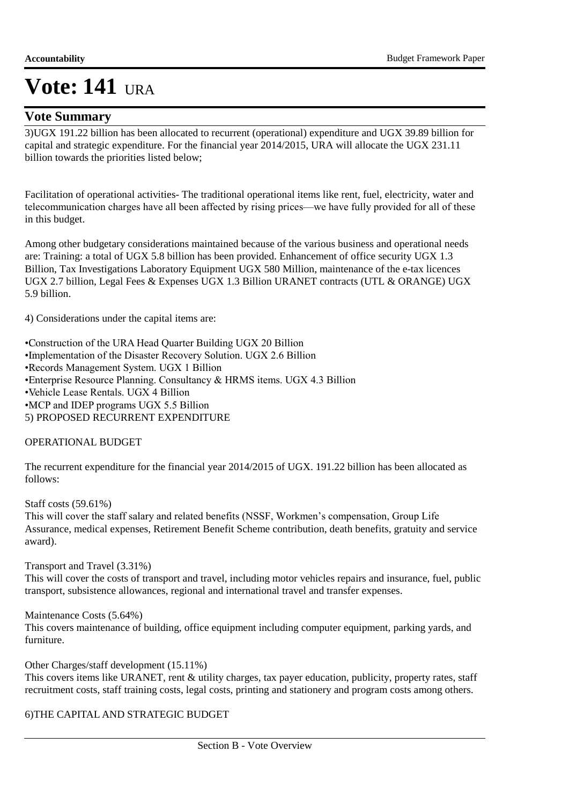### **Vote Summary**

3) UGX 191.22 billion has been allocated to recurrent (operational) expenditure and UGX 39.89 billion for capital and strategic expenditure. For the financial year 2014/2015, URA will allocate the UGX 231.11 billion towards the priorities listed below;

Facilitation of operational activities- The traditional operational items like rent, fuel, electricity, water and telecommunication charges have all been affected by rising prices—we have fully provided for all of these in this budget.

Among other budgetary considerations maintained because of the various business and operational needs are: Training: a total of UGX 5.8 billion has been provided. Enhancement of office security UGX 1.3 Billion, Tax Investigations Laboratory Equipment UGX 580 Million, maintenance of the e-tax licences UGX 2.7 billion, Legal Fees & Expenses UGX 1.3 Billion URANET contracts (UTL & ORANGE) UGX 5.9 billion.

4) Considerations under the capital items are:

• Construction of the URA Head Quarter Building UGX 20 Billion

• Implementation of the Disaster Recovery Solution. UGX 2.6 Billion

• Records Management System. UGX 1 Billion

• Enterprise Resource Planning. Consultancy & HRMS items. UGX 4.3 Billion

• Vehicle Lease Rentals. UGX 4 Billion

• MCP and IDEP programs UGX 5.5 Billion

5) PROPOSED RECURRENT EXPENDITURE

#### OPERATIONAL BUDGET

The recurrent expenditure for the financial year 2014/2015 of UGX. 191.22 billion has been allocated as follows:

Staff costs (59.61%)

This will cover the staff salary and related benefits (NSSF, Workmen's compensation, Group Life Assurance, medical expenses, Retirement Benefit Scheme contribution, death benefits, gratuity and service award).

Transport and Travel (3.31%)

This will cover the costs of transport and travel, including motor vehicles repairs and insurance, fuel, public transport, subsistence allowances, regional and international travel and transfer expenses.

Maintenance Costs (5.64%)

This covers maintenance of building, office equipment including computer equipment, parking yards, and furniture.

Other Charges/staff development (15.11%)

This covers items like URANET, rent & utility charges, tax payer education, publicity, property rates, staff recruitment costs, staff training costs, legal costs, printing and stationery and program costs among others.

#### 6) THE CAPITAL AND STRATEGIC BUDGET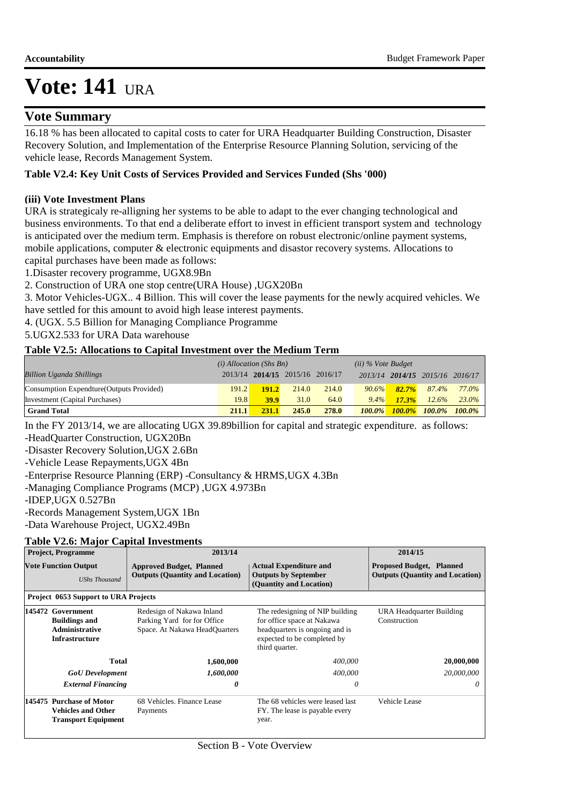#### **Vote Summary**

16.18 % has been allocated to capital costs to cater for URA Headquarter Building Construction, Disaster Recovery Solution, and Implementation of the Enterprise Resource Planning Solution, servicing of the vehicle lease, Records Management System.

#### **Table V2.4: Key Unit Costs of Services Provided and Services Funded (Shs '000)**

#### **(iii) Vote Investment Plans**

URA is strategicaly re-alligning her systems to be able to adapt to the ever changing technological and business environments. To that end a deliberate effort to invest in efficient transport system and technology is anticipated over the medium term. Emphasis is therefore on robust electronic/online payment systems, mobile applications, computer & electronic equipments and disastor recovery systems. Allocations to capital purchases have been made as follows:

1.Disaster recovery programme, UGX8.9Bn

2. Construction of URA one stop centre(URA House) ,UGX20Bn

3. Motor Vehicles-UGX.. 4 Billion. This will cover the lease payments for the newly acquired vehicles. We have settled for this amount to avoid high lease interest payments.

4. (UGX. 5.5 Billion for Managing Compliance Programme

5.UGX2.533 for URA Data warehouse

#### **Table V2.5: Allocations to Capital Investment over the Medium Term**

|                                           | $(i)$ Allocation (Shs Bn) |             |                                 | $(ii)$ % Vote Budget |          |          |                                 |       |
|-------------------------------------------|---------------------------|-------------|---------------------------------|----------------------|----------|----------|---------------------------------|-------|
| <b>Billion Uganda Shillings</b>           |                           |             | 2013/14 2014/15 2015/16 2016/17 |                      |          |          | 2013/14 2014/15 2015/16 2016/17 |       |
| Consumption Expendture (Outputs Provided) | 191.2                     | 191.2       | 214.0                           | 214.0                | $90.6\%$ | $82.7\%$ | 87.4%                           | 77.0% |
| Investment (Capital Purchases)            | 19.8                      | <b>39.9</b> | 31.0                            | 64.0                 | $9.4\%$  | 17.3%    | 12.6%                           | 23.0% |
| <b>Grand Total</b>                        | <b>211.1</b>              | 231.1       | 245.0                           | 278.0                |          |          | 100.0% 100.0% 100.0% 100.0%     |       |

In the FY 2013/14, we are allocating UGX 39.89billion for capital and strategic expenditure. as follows:

-HeadQuarter Construction, UGX20Bn

-Disaster Recovery Solution,UGX 2.6Bn

-Vehicle Lease Repayments,UGX 4Bn

-Enterprise Resource Planning (ERP) -Consultancy & HRMS,UGX 4.3Bn

-Managing Compliance Programs (MCP) ,UGX 4.973Bn

-IDEP,UGX 0.527Bn

-Records Management System,UGX 1Bn

-Data Warehouse Project, UGX2.49Bn

#### **Table V2.6: Major Capital Investments**

| <b>Project, Programme</b>                                                            | 2013/14                                                                                   |                                                                                                                                                  | 2014/15                                                                   |
|--------------------------------------------------------------------------------------|-------------------------------------------------------------------------------------------|--------------------------------------------------------------------------------------------------------------------------------------------------|---------------------------------------------------------------------------|
| <b>Vote Function Output</b><br><b>UShs Thousand</b>                                  | <b>Approved Budget, Planned</b><br><b>Outputs (Quantity and Location)</b>                 | <b>Actual Expenditure and</b><br><b>Outputs by September</b><br>(Quantity and Location)                                                          | <b>Proposed Budget, Planned</b><br><b>Outputs (Quantity and Location)</b> |
| Project 0653 Support to URA Projects                                                 |                                                                                           |                                                                                                                                                  |                                                                           |
| 145472 Government<br><b>Buildings and</b><br><b>Administrative</b><br>Infrastructure | Redesign of Nakawa Inland<br>Parking Yard for for Office<br>Space. At Nakawa HeadQuarters | The redesigning of NIP building<br>for office space at Nakawa<br>headquarters is ongoing and is<br>expected to be completed by<br>third quarter. | URA Headquarter Building<br>Construction                                  |
| Total                                                                                | 1,600,000                                                                                 | 400,000                                                                                                                                          | 20,000,000                                                                |
| <b>GoU</b> Development                                                               | 1,600,000                                                                                 | 400,000                                                                                                                                          | 20,000,000                                                                |
| <b>External Financing</b>                                                            | 0                                                                                         | 0                                                                                                                                                | $\theta$                                                                  |
| 145475 Purchase of Motor<br><b>Vehicles and Other</b><br><b>Transport Equipment</b>  | 68 Vehicles. Finance Lease<br>Payments                                                    | The 68 vehicles were leased last<br>FY. The lease is payable every<br>year.                                                                      | Vehicle Lease                                                             |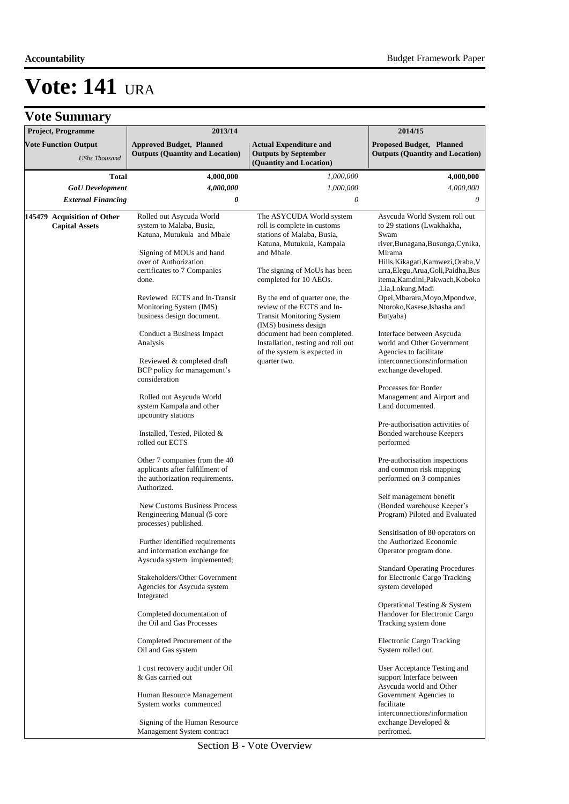|  | <b>Vote Summary</b> |  |
|--|---------------------|--|
|--|---------------------|--|

| $\mathbf{v}$                                        |                                                                           |                                                                                         |                                                                           |
|-----------------------------------------------------|---------------------------------------------------------------------------|-----------------------------------------------------------------------------------------|---------------------------------------------------------------------------|
| Project, Programme                                  | 2013/14                                                                   |                                                                                         | 2014/15                                                                   |
| <b>Vote Function Output</b><br><b>UShs Thousand</b> | <b>Approved Budget, Planned</b><br><b>Outputs (Quantity and Location)</b> | <b>Actual Expenditure and</b><br><b>Outputs by September</b><br>(Quantity and Location) | <b>Proposed Budget, Planned</b><br><b>Outputs (Quantity and Location)</b> |
| <b>Total</b>                                        | 4,000,000                                                                 | 1,000,000                                                                               | 4,000,000                                                                 |
| <b>GoU</b> Development                              | 4,000,000                                                                 | 1,000,000                                                                               | 4,000,000                                                                 |
| <b>External Financing</b>                           | 0                                                                         | 0                                                                                       | 0                                                                         |
|                                                     |                                                                           |                                                                                         |                                                                           |
| 145479 Acquisition of Other                         | Rolled out Asycuda World                                                  | The ASYCUDA World system                                                                | Asycuda World System roll out                                             |
| <b>Capital Assets</b>                               | system to Malaba, Busia,                                                  | roll is complete in customs                                                             | to 29 stations (Lwakhakha,                                                |
|                                                     | Katuna, Mutukula and Mbale                                                | stations of Malaba, Busia,<br>Katuna, Mutukula, Kampala                                 | Swam<br>river, Bunagana, Busunga, Cynika,                                 |
|                                                     | Signing of MOUs and hand                                                  | and Mbale.                                                                              | Mirama                                                                    |
|                                                     | over of Authorization                                                     |                                                                                         | Hills, Kikagati, Kamwezi, Oraba, V                                        |
|                                                     | certificates to 7 Companies                                               | The signing of MoUs has been                                                            | urra, Elegu, Arua, Goli, Paidha, Bus                                      |
|                                                     | done.                                                                     | completed for 10 AEOs.                                                                  | itema, Kamdini, Pakwach, Koboko                                           |
|                                                     |                                                                           |                                                                                         | ,Lia,Lokung,Madi                                                          |
|                                                     | Reviewed ECTS and In-Transit<br>Monitoring System (IMS)                   | By the end of quarter one, the<br>review of the ECTS and In-                            | Opei, Mbarara, Moyo, Mpondwe,<br>Ntoroko, Kasese, Ishasha and             |
|                                                     | business design document.                                                 | <b>Transit Monitoring System</b>                                                        | Butyaba)                                                                  |
|                                                     |                                                                           | (IMS) business design                                                                   |                                                                           |
|                                                     | Conduct a Business Impact                                                 | document had been completed.                                                            | Interface between Asycuda                                                 |
|                                                     | Analysis                                                                  | Installation, testing and roll out                                                      | world and Other Government                                                |
|                                                     |                                                                           | of the system is expected in                                                            | Agencies to facilitate                                                    |
|                                                     | Reviewed & completed draft                                                | quarter two.                                                                            | interconnections/information                                              |
|                                                     | BCP policy for management's<br>consideration                              |                                                                                         | exchange developed.                                                       |
|                                                     |                                                                           |                                                                                         | Processes for Border                                                      |
|                                                     | Rolled out Asycuda World                                                  |                                                                                         | Management and Airport and                                                |
|                                                     | system Kampala and other                                                  |                                                                                         | Land documented.                                                          |
|                                                     | upcountry stations                                                        |                                                                                         |                                                                           |
|                                                     |                                                                           |                                                                                         | Pre-authorisation activities of                                           |
|                                                     | Installed, Tested, Piloted &<br>rolled out ECTS                           |                                                                                         | Bonded warehouse Keepers<br>performed                                     |
|                                                     |                                                                           |                                                                                         |                                                                           |
|                                                     | Other 7 companies from the 40                                             |                                                                                         | Pre-authorisation inspections                                             |
|                                                     | applicants after fulfillment of                                           |                                                                                         | and common risk mapping                                                   |
|                                                     | the authorization requirements.                                           |                                                                                         | performed on 3 companies                                                  |
|                                                     | Authorized.                                                               |                                                                                         | Self management benefit                                                   |
|                                                     | <b>New Customs Business Process</b>                                       |                                                                                         | (Bonded warehouse Keeper's                                                |
|                                                     | Rengineering Manual (5 core                                               |                                                                                         | Program) Piloted and Evaluated                                            |
|                                                     | processes) published.                                                     |                                                                                         |                                                                           |
|                                                     |                                                                           |                                                                                         | Sensitisation of 80 operators on                                          |
|                                                     | Further identified requirements                                           |                                                                                         | the Authorized Economic                                                   |
|                                                     | and information exchange for<br>Ayscuda system implemented;               |                                                                                         | Operator program done.                                                    |
|                                                     |                                                                           |                                                                                         | <b>Standard Operating Procedures</b>                                      |
|                                                     | Stakeholders/Other Government                                             |                                                                                         | for Electronic Cargo Tracking                                             |
|                                                     | Agencies for Asycuda system                                               |                                                                                         | system developed                                                          |
|                                                     | Integrated                                                                |                                                                                         |                                                                           |
|                                                     | Completed documentation of                                                |                                                                                         | Operational Testing & System<br>Handover for Electronic Cargo             |
|                                                     | the Oil and Gas Processes                                                 |                                                                                         | Tracking system done                                                      |
|                                                     |                                                                           |                                                                                         |                                                                           |
|                                                     | Completed Procurement of the                                              |                                                                                         | Electronic Cargo Tracking                                                 |
|                                                     | Oil and Gas system                                                        |                                                                                         | System rolled out.                                                        |
|                                                     |                                                                           |                                                                                         |                                                                           |
|                                                     | 1 cost recovery audit under Oil<br>& Gas carried out                      |                                                                                         | User Acceptance Testing and<br>support Interface between                  |
|                                                     |                                                                           |                                                                                         | Asycuda world and Other                                                   |
|                                                     | Human Resource Management                                                 |                                                                                         | Government Agencies to                                                    |
|                                                     | System works commenced                                                    |                                                                                         | facilitate                                                                |
|                                                     |                                                                           |                                                                                         | interconnections/information                                              |
|                                                     | Signing of the Human Resource                                             |                                                                                         | exchange Developed &                                                      |
|                                                     | Management System contract                                                |                                                                                         | perfromed.                                                                |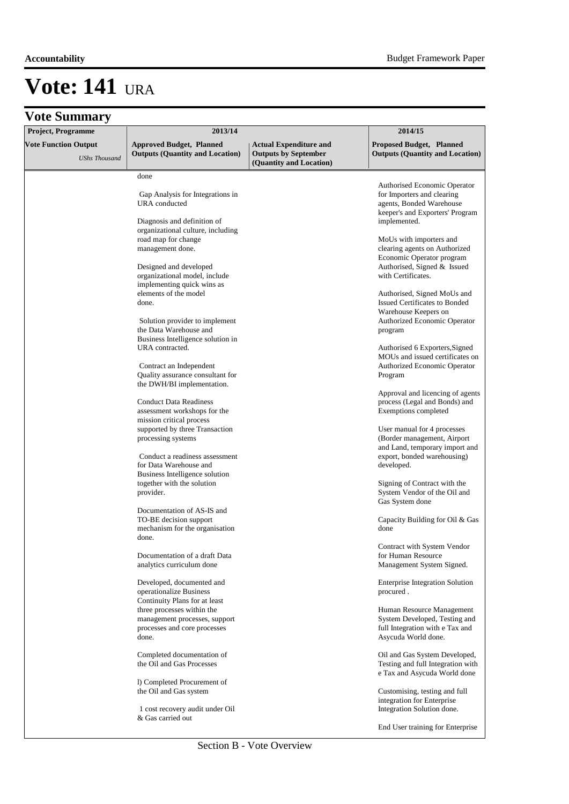| Project, Programme                                  | 2013/14                                                                                                        | 2014/15                                                                                 |                                                                                                                                           |  |
|-----------------------------------------------------|----------------------------------------------------------------------------------------------------------------|-----------------------------------------------------------------------------------------|-------------------------------------------------------------------------------------------------------------------------------------------|--|
| <b>Vote Function Output</b><br><b>UShs Thousand</b> | <b>Approved Budget, Planned</b><br><b>Outputs (Quantity and Location)</b>                                      | <b>Actual Expenditure and</b><br><b>Outputs by September</b><br>(Quantity and Location) | <b>Proposed Budget, Planned</b><br><b>Outputs (Quantity and Location)</b>                                                                 |  |
|                                                     | done                                                                                                           |                                                                                         |                                                                                                                                           |  |
|                                                     | Gap Analysis for Integrations in<br>URA conducted<br>Diagnosis and definition of                               |                                                                                         | Authorised Economic Operator<br>for Importers and clearing<br>agents, Bonded Warehouse<br>keeper's and Exporters' Program<br>implemented. |  |
|                                                     | organizational culture, including<br>road map for change<br>management done.                                   |                                                                                         | MoUs with importers and<br>clearing agents on Authorized<br>Economic Operator program                                                     |  |
|                                                     | Designed and developed<br>organizational model, include<br>implementing quick wins as<br>elements of the model |                                                                                         | Authorised, Signed & Issued<br>with Certificates.<br>Authorised, Signed MoUs and                                                          |  |
|                                                     | done.<br>Solution provider to implement                                                                        |                                                                                         | <b>Issued Certificates to Bonded</b><br>Warehouse Keepers on<br><b>Authorized Economic Operator</b>                                       |  |
|                                                     | the Data Warehouse and<br>Business Intelligence solution in<br>URA contracted.                                 |                                                                                         | program<br>Authorised 6 Exporters, Signed                                                                                                 |  |
|                                                     | Contract an Independent<br>Quality assurance consultant for<br>the DWH/BI implementation.                      |                                                                                         | MOUs and issued certificates on<br><b>Authorized Economic Operator</b><br>Program                                                         |  |
|                                                     | <b>Conduct Data Readiness</b><br>assessment workshops for the                                                  |                                                                                         | Approval and licencing of agents<br>process (Legal and Bonds) and<br>Exemptions completed                                                 |  |
|                                                     | mission critical process<br>supported by three Transaction<br>processing systems                               |                                                                                         | User manual for 4 processes<br>(Border management, Airport<br>and Land, temporary import and                                              |  |
|                                                     | Conduct a readiness assessment<br>for Data Warehouse and<br>Business Intelligence solution                     |                                                                                         | export, bonded warehousing)<br>developed.                                                                                                 |  |
|                                                     | together with the solution<br>provider.                                                                        |                                                                                         | Signing of Contract with the<br>System Vendor of the Oil and<br>Gas System done                                                           |  |
|                                                     | Documentation of AS-IS and<br>TO-BE decision support<br>mechanism for the organisation<br>done.                |                                                                                         | Capacity Building for Oil & Gas<br>done                                                                                                   |  |
|                                                     | Documentation of a draft Data<br>analytics curriculum done                                                     |                                                                                         | Contract with System Vendor<br>for Human Resource<br>Management System Signed.                                                            |  |
|                                                     | Developed, documented and<br>operationalize Business<br>Continuity Plans for at least                          |                                                                                         | <b>Enterprise Integration Solution</b><br>procured.                                                                                       |  |
|                                                     | three processes within the<br>management processes, support<br>processes and core processes<br>done.           |                                                                                         | Human Resource Management<br>System Developed, Testing and<br>full Integration with e Tax and<br>Asycuda World done.                      |  |
|                                                     | Completed documentation of<br>the Oil and Gas Processes                                                        |                                                                                         | Oil and Gas System Developed,<br>Testing and full Integration with<br>e Tax and Asycuda World done                                        |  |
|                                                     | I) Completed Procurement of<br>the Oil and Gas system                                                          |                                                                                         | Customising, testing and full<br>integration for Enterprise                                                                               |  |
|                                                     | 1 cost recovery audit under Oil<br>& Gas carried out                                                           |                                                                                         | Integration Solution done.<br>End User training for Enterprise                                                                            |  |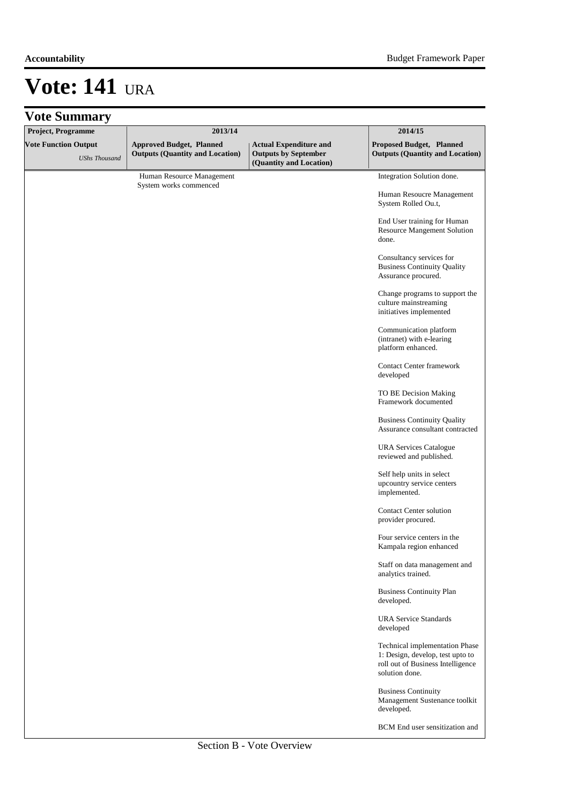| <b>Vote Summary</b>                                 |                                                                           |                                                                                         |                                                                                                                           |
|-----------------------------------------------------|---------------------------------------------------------------------------|-----------------------------------------------------------------------------------------|---------------------------------------------------------------------------------------------------------------------------|
| Project, Programme                                  | 2013/14                                                                   |                                                                                         | 2014/15                                                                                                                   |
| <b>Vote Function Output</b><br><b>UShs Thousand</b> | <b>Approved Budget, Planned</b><br><b>Outputs (Quantity and Location)</b> | <b>Actual Expenditure and</b><br><b>Outputs by September</b><br>(Quantity and Location) | Proposed Budget, Planned<br><b>Outputs (Quantity and Location)</b>                                                        |
|                                                     | Human Resource Management                                                 |                                                                                         | Integration Solution done.                                                                                                |
|                                                     | System works commenced                                                    |                                                                                         | Human Resoucre Management<br>System Rolled Ou.t,                                                                          |
|                                                     |                                                                           |                                                                                         | End User training for Human<br><b>Resource Mangement Solution</b><br>done.                                                |
|                                                     |                                                                           |                                                                                         | Consultancy services for<br><b>Business Continuity Quality</b><br>Assurance procured.                                     |
|                                                     |                                                                           |                                                                                         | Change programs to support the<br>culture mainstreaming<br>initiatives implemented                                        |
|                                                     |                                                                           |                                                                                         | Communication platform<br>(intranet) with e-learing<br>platform enhanced.                                                 |
|                                                     |                                                                           |                                                                                         | Contact Center framework<br>developed                                                                                     |
|                                                     |                                                                           |                                                                                         | TO BE Decision Making<br>Framework documented                                                                             |
|                                                     |                                                                           |                                                                                         | <b>Business Continuity Quality</b><br>Assurance consultant contracted                                                     |
|                                                     |                                                                           |                                                                                         | <b>URA Services Catalogue</b><br>reviewed and published.                                                                  |
|                                                     |                                                                           |                                                                                         | Self help units in select<br>upcountry service centers<br>implemented.                                                    |
|                                                     |                                                                           |                                                                                         | <b>Contact Center solution</b><br>provider procured.                                                                      |
|                                                     |                                                                           |                                                                                         | Four service centers in the<br>Kampala region enhanced                                                                    |
|                                                     |                                                                           |                                                                                         | Staff on data management and<br>analytics trained.                                                                        |
|                                                     |                                                                           |                                                                                         | <b>Business Continuity Plan</b><br>developed.                                                                             |
|                                                     |                                                                           |                                                                                         | <b>URA Service Standards</b><br>developed                                                                                 |
|                                                     |                                                                           |                                                                                         | Technical implementation Phase<br>1: Design, develop, test upto to<br>roll out of Business Intelligence<br>solution done. |
|                                                     |                                                                           |                                                                                         | <b>Business Continuity</b><br>Management Sustenance toolkit<br>developed.                                                 |
|                                                     |                                                                           |                                                                                         | BCM End user sensitization and                                                                                            |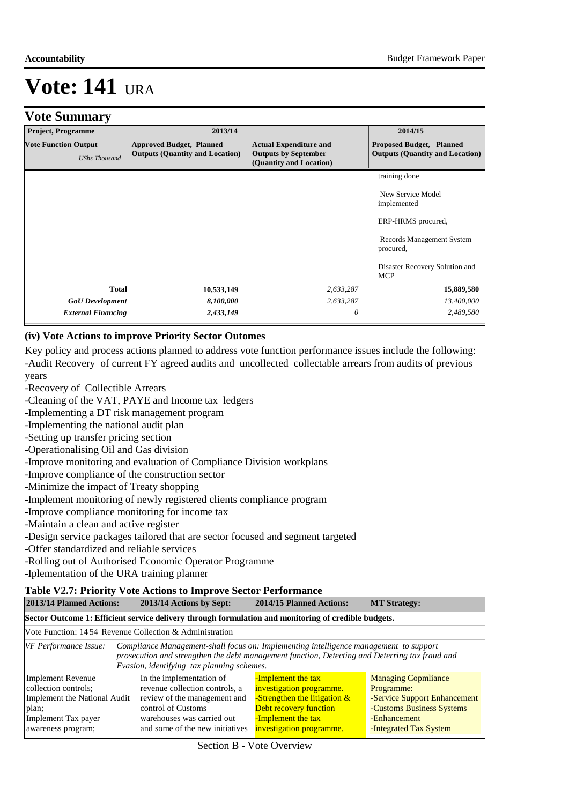#### **Accountability** Budget Framework Paper

# **Vote: 141** ura

### **Vote Summary**

| <b>Project, Programme</b>                           | 2013/14                                                                   |                                                                                         | 2014/15                                                                   |
|-----------------------------------------------------|---------------------------------------------------------------------------|-----------------------------------------------------------------------------------------|---------------------------------------------------------------------------|
| <b>Vote Function Output</b><br><b>UShs Thousand</b> | <b>Approved Budget, Planned</b><br><b>Outputs (Quantity and Location)</b> | <b>Actual Expenditure and</b><br><b>Outputs by September</b><br>(Quantity and Location) | <b>Proposed Budget, Planned</b><br><b>Outputs (Quantity and Location)</b> |
|                                                     |                                                                           |                                                                                         | training done                                                             |
|                                                     |                                                                           |                                                                                         | New Service Model<br>implemented                                          |
|                                                     |                                                                           |                                                                                         | ERP-HRMS procured,                                                        |
|                                                     |                                                                           |                                                                                         | Records Management System<br>procured,                                    |
|                                                     |                                                                           |                                                                                         | Disaster Recovery Solution and<br><b>MCP</b>                              |
| Total                                               | 10,533,149                                                                | 2,633,287                                                                               | 15,889,580                                                                |
| <b>GoU</b> Development                              | 8,100,000                                                                 | 2,633,287                                                                               | 13,400,000                                                                |
| <b>External Financing</b>                           | 2,433,149                                                                 | 0                                                                                       | 2,489,580                                                                 |

#### **(iv) Vote Actions to improve Priority Sector Outomes**

Key policy and process actions planned to address vote function performance issues include the following: -Audit Recovery of current FY agreed audits and uncollected collectable arrears from audits of previous years

- -Recovery of Collectible Arrears
- -Cleaning of the VAT, PAYE and Income tax ledgers
- -Implementing a DT risk management program
- -Implementing the national audit plan
- -Setting up transfer pricing section
- -Operationalising Oil and Gas division
- -Improve monitoring and evaluation of Compliance Division workplans
- -Improve compliance of the construction sector
- -Minimize the impact of Treaty shopping
- -Implement monitoring of newly registered clients compliance program
- -Improve compliance monitoring for income tax
- -Maintain a clean and active register
- -Design service packages tailored that are sector focused and segment targeted
- -Offer standardized and reliable services
- -Rolling out of Authorised Economic Operator Programme
- -Iplementation of the URA training planner

#### **Table V2.7: Priority Vote Actions to Improve Sector Performance**

| 2013/14 Planned Actions:<br>2013/14 Actions by Sept:                                                                                   |                                                                                                                                                                                                                                       | 2014/15 Planned Actions:                                                                                                                                      | <b>MT Strategy:</b>                                                                                                                             |
|----------------------------------------------------------------------------------------------------------------------------------------|---------------------------------------------------------------------------------------------------------------------------------------------------------------------------------------------------------------------------------------|---------------------------------------------------------------------------------------------------------------------------------------------------------------|-------------------------------------------------------------------------------------------------------------------------------------------------|
|                                                                                                                                        | Sector Outcome 1: Efficient service delivery through formulation and monitoring of credible budgets.                                                                                                                                  |                                                                                                                                                               |                                                                                                                                                 |
| Vote Function: 14.54 Revenue Collection & Administration                                                                               |                                                                                                                                                                                                                                       |                                                                                                                                                               |                                                                                                                                                 |
| VF Performance Issue:                                                                                                                  | Compliance Management-shall focus on: Implementing intelligence management to support<br>prosecution and strengthen the debt management function, Detecting and Deterring tax fraud and<br>Evasion, identifying tax planning schemes. |                                                                                                                                                               |                                                                                                                                                 |
| <b>Implement Revenue</b><br>collection controls;<br>Implement the National Audit<br>plan;<br>Implement Tax payer<br>awareness program; | In the implementation of<br>revenue collection controls, a<br>review of the management and<br>control of Customs<br>warehouses was carried out<br>and some of the new initiatives                                                     | -Implement the tax<br>investigation programme.<br>-Strengthen the litigation $\&$<br>Debt recovery function<br>-Implement the tax<br>investigation programme. | <b>Managing Copmliance</b><br>Programme:<br>-Service Support Enhancement<br>-Customs Business Systems<br>-Enhancement<br>-Integrated Tax System |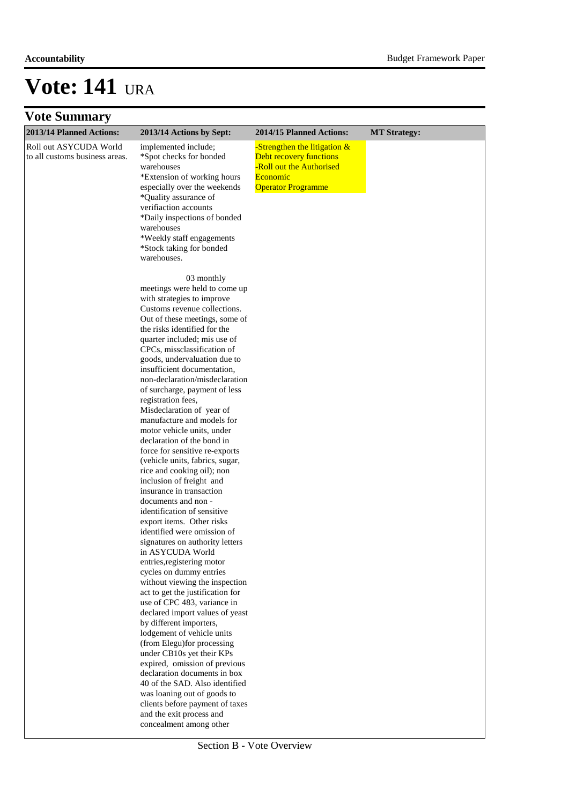### **Vote Summary**

| 2013/14 Planned Actions:                                 | 2013/14 Actions by Sept:                                                                                                                                                                                                                                                                                                                                                                                                                                                                                                                                                                                                                                                                                                                                                                                                                                                                                                                                                                                                                                                                                                                                                            | 2014/15 Planned Actions:                                                                                                     | <b>MT</b> Strategy: |  |  |
|----------------------------------------------------------|-------------------------------------------------------------------------------------------------------------------------------------------------------------------------------------------------------------------------------------------------------------------------------------------------------------------------------------------------------------------------------------------------------------------------------------------------------------------------------------------------------------------------------------------------------------------------------------------------------------------------------------------------------------------------------------------------------------------------------------------------------------------------------------------------------------------------------------------------------------------------------------------------------------------------------------------------------------------------------------------------------------------------------------------------------------------------------------------------------------------------------------------------------------------------------------|------------------------------------------------------------------------------------------------------------------------------|---------------------|--|--|
| Roll out ASYCUDA World<br>to all customs business areas. | implemented include;<br>*Spot checks for bonded<br>warehouses<br>*Extension of working hours<br>especially over the weekends<br>*Quality assurance of<br>verifiaction accounts<br>*Daily inspections of bonded<br>warehouses<br>*Weekly staff engagements<br>*Stock taking for bonded<br>warehouses.                                                                                                                                                                                                                                                                                                                                                                                                                                                                                                                                                                                                                                                                                                                                                                                                                                                                                | -Strengthen the litigation &<br>Debt recovery functions<br>-Roll out the Authorised<br>Economic<br><b>Operator Programme</b> |                     |  |  |
|                                                          | 03 monthly<br>meetings were held to come up<br>with strategies to improve<br>Customs revenue collections.<br>Out of these meetings, some of<br>the risks identified for the<br>quarter included; mis use of<br>CPCs, missclassification of<br>goods, undervaluation due to<br>insufficient documentation,<br>non-declaration/misdeclaration<br>of surcharge, payment of less<br>registration fees,<br>Misdeclaration of year of<br>manufacture and models for<br>motor vehicle units, under<br>declaration of the bond in<br>force for sensitive re-exports<br>(vehicle units, fabrics, sugar,<br>rice and cooking oil); non<br>inclusion of freight and<br>insurance in transaction<br>documents and non -<br>identification of sensitive<br>export items. Other risks<br>identified were omission of<br>signatures on authority letters<br>in ASYCUDA World<br>entries, registering motor<br>cycles on dummy entries<br>without viewing the inspection<br>act to get the justification for<br>use of CPC 483, variance in<br>declared import values of yeast<br>by different importers,<br>lodgement of vehicle units<br>(from Elegu) for processing<br>under CB10s yet their KPs |                                                                                                                              |                     |  |  |
|                                                          | expired, omission of previous<br>declaration documents in box<br>40 of the SAD. Also identified<br>was loaning out of goods to<br>clients before payment of taxes<br>and the exit process and<br>concealment among other                                                                                                                                                                                                                                                                                                                                                                                                                                                                                                                                                                                                                                                                                                                                                                                                                                                                                                                                                            |                                                                                                                              |                     |  |  |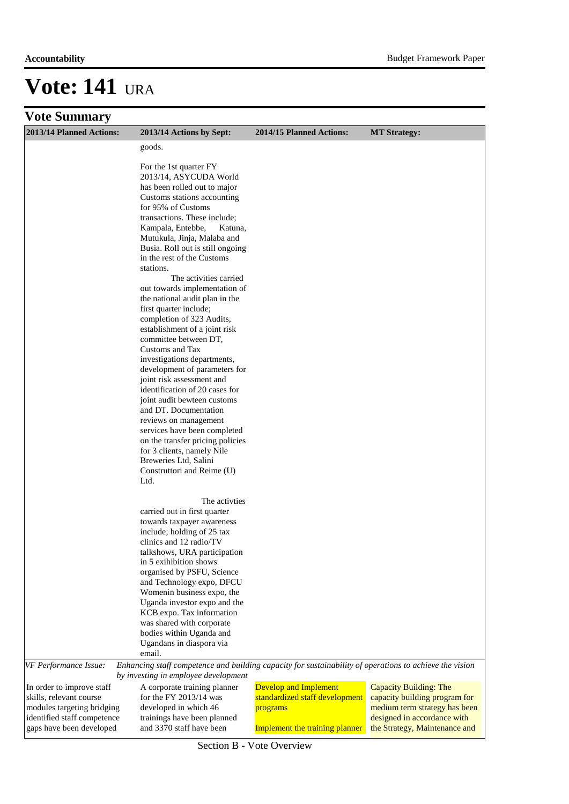#### **Accountability** Budget Framework Paper

## **Vote: 141** ura

### **Vote Summary**

| 2013/14 Planned Actions:                                | 2013/14 Actions by Sept:                                                                                                                        | 2014/15 Planned Actions:       | <b>MT</b> Strategy:                                          |
|---------------------------------------------------------|-------------------------------------------------------------------------------------------------------------------------------------------------|--------------------------------|--------------------------------------------------------------|
|                                                         | goods.                                                                                                                                          |                                |                                                              |
|                                                         |                                                                                                                                                 |                                |                                                              |
|                                                         | For the 1st quarter FY<br>2013/14, ASYCUDA World                                                                                                |                                |                                                              |
|                                                         | has been rolled out to major                                                                                                                    |                                |                                                              |
|                                                         | Customs stations accounting                                                                                                                     |                                |                                                              |
|                                                         | for 95% of Customs                                                                                                                              |                                |                                                              |
|                                                         | transactions. These include;                                                                                                                    |                                |                                                              |
|                                                         | Kampala, Entebbe,<br>Katuna,                                                                                                                    |                                |                                                              |
|                                                         | Mutukula, Jinja, Malaba and                                                                                                                     |                                |                                                              |
|                                                         | Busia. Roll out is still ongoing                                                                                                                |                                |                                                              |
|                                                         | in the rest of the Customs                                                                                                                      |                                |                                                              |
|                                                         | stations.<br>The activities carried                                                                                                             |                                |                                                              |
|                                                         | out towards implementation of                                                                                                                   |                                |                                                              |
|                                                         | the national audit plan in the                                                                                                                  |                                |                                                              |
|                                                         | first quarter include;                                                                                                                          |                                |                                                              |
|                                                         | completion of 323 Audits,                                                                                                                       |                                |                                                              |
|                                                         | establishment of a joint risk                                                                                                                   |                                |                                                              |
|                                                         | committee between DT,                                                                                                                           |                                |                                                              |
|                                                         | Customs and Tax                                                                                                                                 |                                |                                                              |
|                                                         | investigations departments,                                                                                                                     |                                |                                                              |
|                                                         | development of parameters for<br>joint risk assessment and                                                                                      |                                |                                                              |
|                                                         | identification of 20 cases for                                                                                                                  |                                |                                                              |
|                                                         | joint audit bewteen customs                                                                                                                     |                                |                                                              |
|                                                         | and DT. Documentation                                                                                                                           |                                |                                                              |
|                                                         | reviews on management                                                                                                                           |                                |                                                              |
|                                                         | services have been completed                                                                                                                    |                                |                                                              |
|                                                         | on the transfer pricing policies                                                                                                                |                                |                                                              |
|                                                         | for 3 clients, namely Nile                                                                                                                      |                                |                                                              |
|                                                         | Breweries Ltd, Salini<br>Construttori and Reime (U)                                                                                             |                                |                                                              |
|                                                         | Ltd.                                                                                                                                            |                                |                                                              |
|                                                         |                                                                                                                                                 |                                |                                                              |
|                                                         | The activities                                                                                                                                  |                                |                                                              |
|                                                         | carried out in first quarter                                                                                                                    |                                |                                                              |
|                                                         | towards taxpayer awareness<br>include; holding of 25 tax                                                                                        |                                |                                                              |
|                                                         | clinics and 12 radio/TV                                                                                                                         |                                |                                                              |
|                                                         | talkshows, URA participation                                                                                                                    |                                |                                                              |
|                                                         | in 5 exihibition shows                                                                                                                          |                                |                                                              |
|                                                         | organised by PSFU, Science                                                                                                                      |                                |                                                              |
|                                                         | and Technology expo, DFCU                                                                                                                       |                                |                                                              |
|                                                         | Womenin business expo, the                                                                                                                      |                                |                                                              |
|                                                         | Uganda investor expo and the<br>KCB expo. Tax information                                                                                       |                                |                                                              |
|                                                         | was shared with corporate                                                                                                                       |                                |                                                              |
|                                                         | bodies within Uganda and                                                                                                                        |                                |                                                              |
|                                                         | Ugandans in diaspora via                                                                                                                        |                                |                                                              |
|                                                         | email.                                                                                                                                          |                                |                                                              |
| VF Performance Issue:                                   | Enhancing staff competence and building capacity for sustainability of operations to achieve the vision<br>by investing in employee development |                                |                                                              |
| In order to improve staff                               | A corporate training planner                                                                                                                    | <b>Develop and Implement</b>   | Capacity Building: The                                       |
| skills, relevant course                                 | for the FY $2013/14$ was                                                                                                                        | standardized staff development | capacity building program for                                |
| modules targeting bridging                              | developed in which 46                                                                                                                           | programs                       | medium term strategy has been                                |
| identified staff competence<br>gaps have been developed | trainings have been planned<br>and 3370 staff have been                                                                                         |                                | designed in accordance with<br>the Strategy, Maintenance and |
|                                                         |                                                                                                                                                 | Implement the training planner |                                                              |

Section B - Vote Overview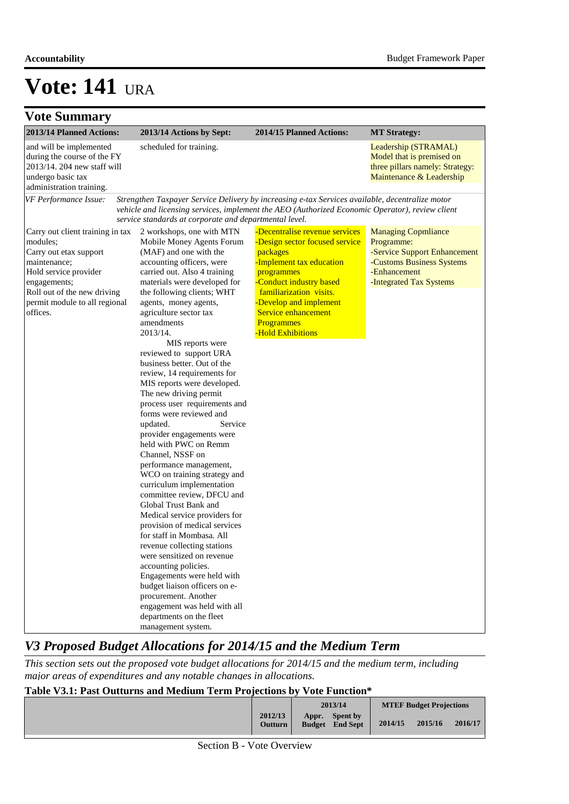| <b>Vote Summary</b>                                                                                                                                                                                         |                                                                                                                                                                                                                                                                                                                                                                                                                                                                                                                                                                                                                                                                                                                                                                                                                                                                                                                                                                                                                                                                                                                                         |                                                                                                                                                                                                                                                                         |                                                                                                                                                  |
|-------------------------------------------------------------------------------------------------------------------------------------------------------------------------------------------------------------|-----------------------------------------------------------------------------------------------------------------------------------------------------------------------------------------------------------------------------------------------------------------------------------------------------------------------------------------------------------------------------------------------------------------------------------------------------------------------------------------------------------------------------------------------------------------------------------------------------------------------------------------------------------------------------------------------------------------------------------------------------------------------------------------------------------------------------------------------------------------------------------------------------------------------------------------------------------------------------------------------------------------------------------------------------------------------------------------------------------------------------------------|-------------------------------------------------------------------------------------------------------------------------------------------------------------------------------------------------------------------------------------------------------------------------|--------------------------------------------------------------------------------------------------------------------------------------------------|
| 2013/14 Planned Actions:                                                                                                                                                                                    | 2013/14 Actions by Sept:                                                                                                                                                                                                                                                                                                                                                                                                                                                                                                                                                                                                                                                                                                                                                                                                                                                                                                                                                                                                                                                                                                                | 2014/15 Planned Actions:                                                                                                                                                                                                                                                | <b>MT Strategy:</b>                                                                                                                              |
| and will be implemented<br>during the course of the FY<br>2013/14. 204 new staff will<br>undergo basic tax<br>administration training.                                                                      | scheduled for training.                                                                                                                                                                                                                                                                                                                                                                                                                                                                                                                                                                                                                                                                                                                                                                                                                                                                                                                                                                                                                                                                                                                 |                                                                                                                                                                                                                                                                         | Leadership (STRAMAL)<br>Model that is premised on<br>three pillars namely: Strategy:<br>Maintenance & Leadership                                 |
| VF Performance Issue:                                                                                                                                                                                       | service standards at corporate and departmental level.                                                                                                                                                                                                                                                                                                                                                                                                                                                                                                                                                                                                                                                                                                                                                                                                                                                                                                                                                                                                                                                                                  | Strengthen Taxpayer Service Delivery by increasing e-tax Services available, decentralize motor<br>vehicle and licensing services, implement the AEO (Authorized Economic Operator), review client                                                                      |                                                                                                                                                  |
| Carry out client training in tax<br>modules;<br>Carry out etax support<br>maintenance;<br>Hold service provider<br>engagements;<br>Roll out of the new driving<br>permit module to all regional<br>offices. | 2 workshops, one with MTN<br>Mobile Money Agents Forum<br>(MAF) and one with the<br>accounting officers, were<br>carried out. Also 4 training<br>materials were developed for<br>the following clients; WHT<br>agents, money agents,<br>agriculture sector tax<br>amendments<br>2013/14.<br>MIS reports were<br>reviewed to support URA<br>business better. Out of the<br>review, 14 requirements for<br>MIS reports were developed.<br>The new driving permit<br>process user requirements and<br>forms were reviewed and<br>Service<br>updated.<br>provider engagements were<br>held with PWC on Remm<br>Channel, NSSF on<br>performance management,<br>WCO on training strategy and<br>curriculum implementation<br>committee review, DFCU and<br>Global Trust Bank and<br>Medical service providers for<br>provision of medical services<br>for staff in Mombasa. All<br>revenue collecting stations<br>were sensitized on revenue<br>accounting policies.<br>Engagements were held with<br>budget liaison officers on e-<br>procurement. Another<br>engagement was held with all<br>departments on the fleet<br>management system. | -Decentralise revenue services<br>-Design sector focused service<br>packages<br>-Implement tax education<br>programmes<br>-Conduct industry based<br>familiarization visits.<br>-Develop and implement<br>Service enhancement<br><b>Programmes</b><br>-Hold Exhibitions | <b>Managing Copmliance</b><br>Programme:<br>-Service Support Enhancement<br>-Customs Business Systems<br>-Enhancement<br>-Integrated Tax Systems |

### *V3 Proposed Budget Allocations for 2014/15 and the Medium Term*

*This section sets out the proposed vote budget allocations for 2014/15 and the medium term, including major areas of expenditures and any notable changes in allocations.* 

#### **Table V3.1: Past Outturns and Medium Term Projections by Vote Function\***

|                           | 2013/14 |                                    | <b>MTEF Budget Projections</b> |         |         |  |
|---------------------------|---------|------------------------------------|--------------------------------|---------|---------|--|
| 2012/13<br><b>Outturn</b> | Appr.   | Spent by<br><b>Budget</b> End Sept | 2014/15                        | 2015/16 | 2016/17 |  |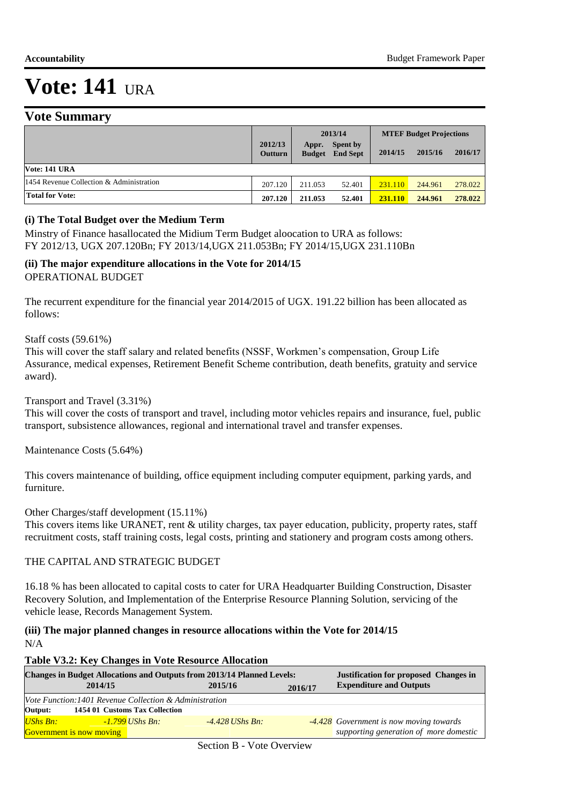### **Vote Summary**

|                                          |                           |                        | 2013/14                            |         | <b>MTEF Budget Projections</b> |         |
|------------------------------------------|---------------------------|------------------------|------------------------------------|---------|--------------------------------|---------|
|                                          | 2012/13<br><b>Outturn</b> | Appr.<br><b>Budget</b> | <b>Spent by</b><br><b>End Sept</b> | 2014/15 | 2015/16                        | 2016/17 |
| Vote: 141 URA                            |                           |                        |                                    |         |                                |         |
| 1454 Revenue Collection & Administration | 207.120                   | 211.053                | 52.401                             | 231.110 | 244.961                        | 278.022 |
| <b>Total for Vote:</b>                   | 207.120                   | 211.053                | 52.401                             | 231.110 | 244.961                        | 278.022 |

#### **(i) The Total Budget over the Medium Term**

Minstry of Finance hasallocated the Midium Term Budget aloocation to URA as follows: FY 2012/13, UGX 207.120Bn; FY 2013/14,UGX 211.053Bn; FY 2014/15,UGX 231.110Bn

#### **(ii) The major expenditure allocations in the Vote for 2014/15** OPERATIONAL BUDGET

The recurrent expenditure for the financial year 2014/2015 of UGX. 191.22 billion has been allocated as follows:

Staff costs (59.61%)

This will cover the staff salary and related benefits (NSSF, Workmen's compensation, Group Life Assurance, medical expenses, Retirement Benefit Scheme contribution, death benefits, gratuity and service award).

Transport and Travel (3.31%)

This will cover the costs of transport and travel, including motor vehicles repairs and insurance, fuel, public transport, subsistence allowances, regional and international travel and transfer expenses.

Maintenance Costs (5.64%)

This covers maintenance of building, office equipment including computer equipment, parking yards, and furniture.

Other Charges/staff development (15.11%)

This covers items like URANET, rent & utility charges, tax payer education, publicity, property rates, staff recruitment costs, staff training costs, legal costs, printing and stationery and program costs among others.

#### THE CAPITAL AND STRATEGIC BUDGET

16.18 % has been allocated to capital costs to cater for URA Headquarter Building Construction, Disaster Recovery Solution, and Implementation of the Enterprise Resource Planning Solution, servicing of the vehicle lease, Records Management System.

#### **(iii) The major planned changes in resource allocations within the Vote for 2014/15** N/A

#### **Table V3.2: Key Changes in Vote Resource Allocation**

| <b>Changes in Budget Allocations and Outputs from 2013/14 Planned Levels:</b> |                                                         |                                |                   |         | <b>Justification for proposed Changes in</b> |
|-------------------------------------------------------------------------------|---------------------------------------------------------|--------------------------------|-------------------|---------|----------------------------------------------|
|                                                                               | 2014/15                                                 |                                | 2015/16           | 2016/17 | <b>Expenditure and Outputs</b>               |
|                                                                               | Vote Function: 1401 Revenue Collection & Administration |                                |                   |         |                                              |
| Output:                                                                       |                                                         | 1454 01 Customs Tax Collection |                   |         |                                              |
| $UShs Bn:$                                                                    |                                                         | <u>-1.799</u> UShs Bn:         | $-4.428$ UShs Bn: |         | -4.428 Government is now moving towards      |
|                                                                               | <b>Government is now moving</b>                         |                                |                   |         | supporting generation of more domestic       |

Section B - Vote Overview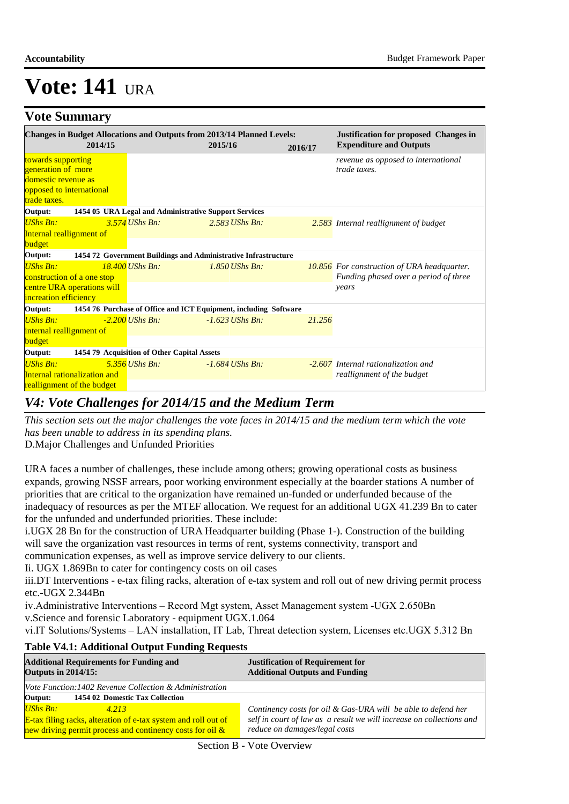### **Vote Summary**

|                                                                                                             | 2014/15 |                                                       | <b>Changes in Budget Allocations and Outputs from 2013/14 Planned Levels:</b><br>2015/16 | 2016/17 | <b>Justification for proposed Changes in</b><br><b>Expenditure and Outputs</b>                       |
|-------------------------------------------------------------------------------------------------------------|---------|-------------------------------------------------------|------------------------------------------------------------------------------------------|---------|------------------------------------------------------------------------------------------------------|
| towards supporting<br>generation of more<br>domestic revenue as<br>opposed to international<br>trade taxes. |         |                                                       |                                                                                          |         | revenue as opposed to international<br>trade taxes.                                                  |
| Output:                                                                                                     |         | 1454 05 URA Legal and Administrative Support Services |                                                                                          |         |                                                                                                      |
| <b>UShs Bn:</b><br>Internal reallignment of<br><b>budget</b>                                                |         | $3.574$ UShs Bn:                                      | $2.583$ UShs Bn:                                                                         |         | 2.583 Internal reallignment of budget                                                                |
| Output:                                                                                                     |         |                                                       | 1454 72 Government Buildings and Administrative Infrastructure                           |         |                                                                                                      |
| $UShs Bn:$<br>construction of a one stop<br>centre URA operations will<br>increation efficiency             |         | $18.400$ UShs Bn:                                     | $1.850$ UShs Bn:                                                                         |         | <b>10.856</b> For construction of URA headquarter.<br>Funding phased over a period of three<br>years |
| Output:                                                                                                     |         |                                                       | 1454 76 Purchase of Office and ICT Equipment, including Software                         |         |                                                                                                      |
| <b>UShs Bn:</b><br>internal reallignment of<br>budget                                                       |         | $-2.200$ UShs Bn:                                     | $-1.623$ UShs Bn:                                                                        | 21.256  |                                                                                                      |
| Output:                                                                                                     |         | 1454 79 Acquisition of Other Capital Assets           |                                                                                          |         |                                                                                                      |
| <b>UShs Bn:</b><br><b>Internal rationalization and</b><br>reallignment of the budget                        |         | $5.356$ UShs Bn:                                      | $-1.684$ UShs Bn:                                                                        |         | -2.607 Internal rationalization and<br>reallignment of the budget                                    |

### *V4: Vote Challenges for 2014/15 and the Medium Term*

*This section sets out the major challenges the vote faces in 2014/15 and the medium term which the vote has been unable to address in its spending plans.*

D. Major Challenges and Unfunded Priorities

URA faces a number of challenges, these include among others; growing operational costs as business expands, growing NSSF arrears, poor working environment especially at the boarder stations A number of priorities that are critical to the organization have remained un-funded or underfunded because of the inadequacy of resources as per the MTEF allocation. We request for an additional UGX 41.239 Bn to cater for the unfunded and underfunded priorities. These include:

i. UGX 28 Bn for the construction of URA Headquarter building (Phase 1-). Construction of the building will save the organization vast resources in terms of rent, systems connectivity, transport and communication expenses, as well as improve service delivery to our clients.

Ii. UGX 1.869Bn to cater for contingency costs on oil cases

iii.DT Interventions - e-tax filing racks, alteration of e-tax system and roll out of new driving permit process etc.-UGX 2.344Bn

iv.Administrative Interventions – Record Mgt system, Asset Management system -UGX 2.650Bn v.Science and forensic Laboratory - equipment UGX.1.064

vi.IT Solutions/Systems – LAN installation, IT Lab, Threat detection system, Licenses etc.UGX 5.312 Bn

#### **Table V4.1: Additional Output Funding Requests**

| <b>Additional Requirements for Funding and</b><br><b>Outputs in 2014/15:</b> | <b>Justification of Requirement for</b><br><b>Additional Outputs and Funding</b>                      |  |
|------------------------------------------------------------------------------|-------------------------------------------------------------------------------------------------------|--|
| Vote Function: 1402 Revenue Collection & Administration                      |                                                                                                       |  |
| 1454 02 Domestic Tax Collection<br>Output:                                   |                                                                                                       |  |
| UShs Bn:<br>4.213                                                            | Continency costs for oil & Gas-URA will be able to defend her                                         |  |
| <b>E-tax filing racks, alteration of e-tax system and roll out of</b>        | self in court of law as a result we will increase on collections and<br>reduce on damages/legal costs |  |
| new driving permit process and continency costs for oil $\&$                 |                                                                                                       |  |

Section B - Vote Overview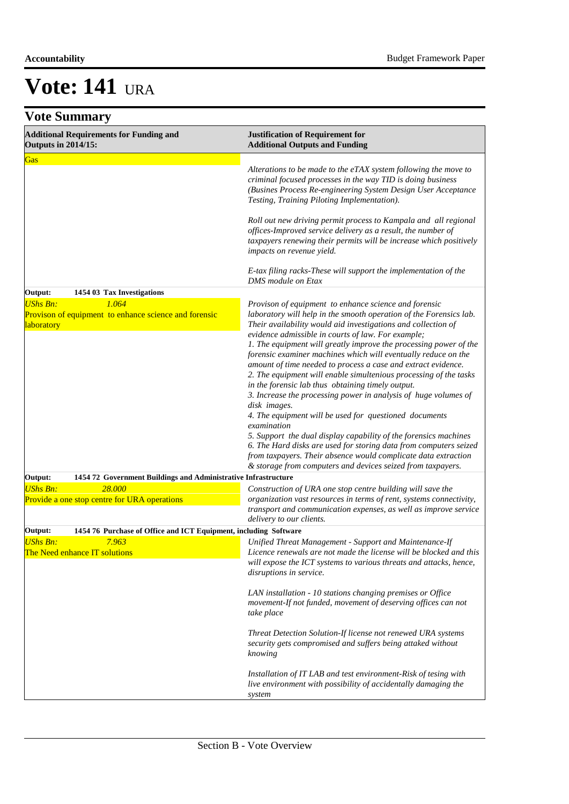|  | <b>Vote Summary</b> |  |
|--|---------------------|--|
|--|---------------------|--|

| <b>Additional Requirements for Funding and</b><br><b>Outputs in 2014/15:</b>                    | <b>Justification of Requirement for</b><br><b>Additional Outputs and Funding</b>                                                                                                                                                                                                                                                                                                                                                                                                                                                                                                                                                                                                                                                                                                                                                                                                                                                                            |  |
|-------------------------------------------------------------------------------------------------|-------------------------------------------------------------------------------------------------------------------------------------------------------------------------------------------------------------------------------------------------------------------------------------------------------------------------------------------------------------------------------------------------------------------------------------------------------------------------------------------------------------------------------------------------------------------------------------------------------------------------------------------------------------------------------------------------------------------------------------------------------------------------------------------------------------------------------------------------------------------------------------------------------------------------------------------------------------|--|
| Gas                                                                                             | Alterations to be made to the eTAX system following the move to<br>criminal focused processes in the way TID is doing business<br>(Busines Process Re-engineering System Design User Acceptance<br>Testing, Training Piloting Implementation).                                                                                                                                                                                                                                                                                                                                                                                                                                                                                                                                                                                                                                                                                                              |  |
|                                                                                                 | Roll out new driving permit process to Kampala and all regional<br>offices-Improved service delivery as a result, the number of<br>taxpayers renewing their permits will be increase which positively<br>impacts on revenue yield.                                                                                                                                                                                                                                                                                                                                                                                                                                                                                                                                                                                                                                                                                                                          |  |
|                                                                                                 | E-tax filing racks-These will support the implementation of the<br>DMS module on Etax                                                                                                                                                                                                                                                                                                                                                                                                                                                                                                                                                                                                                                                                                                                                                                                                                                                                       |  |
| Output:<br>1454 03 Tax Investigations                                                           |                                                                                                                                                                                                                                                                                                                                                                                                                                                                                                                                                                                                                                                                                                                                                                                                                                                                                                                                                             |  |
| <b>UShs Bn:</b><br>1.064<br>Provison of equipment to enhance science and forensic<br>laboratory | Provison of equipment to enhance science and forensic<br>laboratory will help in the smooth operation of the Forensics lab.<br>Their availability would aid investigations and collection of<br>evidence admissible in courts of law. For example;<br>1. The equipment will greatly improve the processing power of the<br>forensic examiner machines which will eventually reduce on the<br>amount of time needed to process a case and extract evidence.<br>2. The equipment will enable simultenious processing of the tasks<br>in the forensic lab thus obtaining timely output.<br>3. Increase the processing power in analysis of huge volumes of<br>disk images.<br>4. The equipment will be used for questioned documents<br>examination<br>5. Support the dual display capability of the forensics machines<br>6. The Hard disks are used for storing data from computers seized<br>from taxpayers. Their absence would complicate data extraction |  |
|                                                                                                 | & storage from computers and devices seized from taxpayers.                                                                                                                                                                                                                                                                                                                                                                                                                                                                                                                                                                                                                                                                                                                                                                                                                                                                                                 |  |
| 1454 72 Government Buildings and Administrative Infrastructure<br>Output:                       |                                                                                                                                                                                                                                                                                                                                                                                                                                                                                                                                                                                                                                                                                                                                                                                                                                                                                                                                                             |  |
| <b>UShs Bn:</b><br>28,000<br><b>Provide a one stop centre for URA operations</b>                | Construction of URA one stop centre building will save the<br>organization vast resources in terms of rent, systems connectivity,<br>transport and communication expenses, as well as improve service<br>delivery to our clients.                                                                                                                                                                                                                                                                                                                                                                                                                                                                                                                                                                                                                                                                                                                           |  |
| 1454 76 Purchase of Office and ICT Equipment, including Software<br>Output:                     |                                                                                                                                                                                                                                                                                                                                                                                                                                                                                                                                                                                                                                                                                                                                                                                                                                                                                                                                                             |  |
| <b>UShs Bn:</b><br>7.963<br>The Need enhance IT solutions                                       | Unified Threat Management - Support and Maintenance-If<br>Licence renewals are not made the license will be blocked and this<br>will expose the ICT systems to various threats and attacks, hence,<br>disruptions in service.                                                                                                                                                                                                                                                                                                                                                                                                                                                                                                                                                                                                                                                                                                                               |  |
|                                                                                                 | LAN installation - 10 stations changing premises or Office<br>movement-If not funded, movement of deserving offices can not<br>take place                                                                                                                                                                                                                                                                                                                                                                                                                                                                                                                                                                                                                                                                                                                                                                                                                   |  |
|                                                                                                 | Threat Detection Solution-If license not renewed URA systems<br>security gets compromised and suffers being attaked without<br>knowing                                                                                                                                                                                                                                                                                                                                                                                                                                                                                                                                                                                                                                                                                                                                                                                                                      |  |
|                                                                                                 | Installation of IT LAB and test environment-Risk of tesing with<br>live environment with possibility of accidentally damaging the<br>system                                                                                                                                                                                                                                                                                                                                                                                                                                                                                                                                                                                                                                                                                                                                                                                                                 |  |